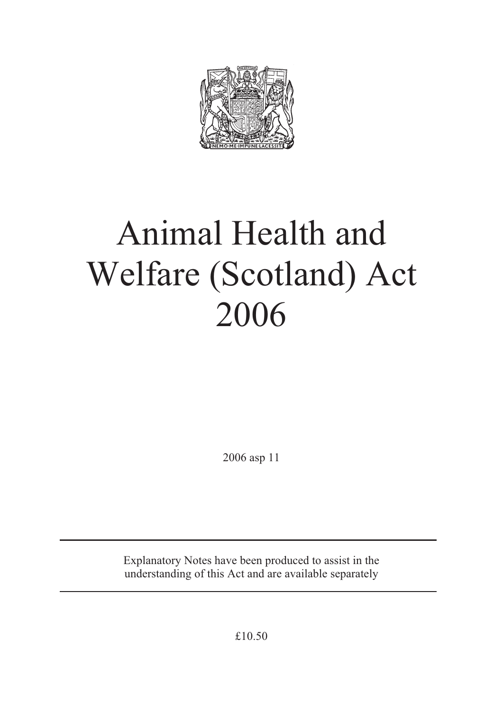

# Animal Health and Welfare (Scotland) Act 2006

2006 asp 11

Explanatory Notes have been produced to assist in the understanding of this Act and are available separately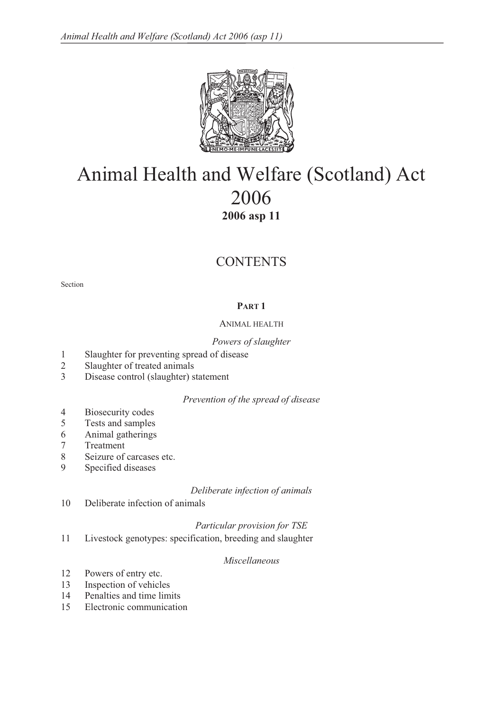

# Animal Health and Welfare (Scotland) Act 2006 **2006 asp 11**

# **CONTENTS**

Section

# **PART 1**

# ANIMAL HEALTH

# *Powers of slaughter*

- 1 Slaughter for preventing spread of disease
- 2 Slaughter of treated animals
- 3 Disease control (slaughter) statement

# *Prevention of the spread of disease*

- 4 Biosecurity codes
- 5 Tests and samples
- 6 Animal gatherings
- 7 Treatment
- 8 Seizure of carcases etc.<br>9 Specified diseases
- Specified diseases

# *Deliberate infection of animals*

10 Deliberate infection of animals

# *Particular provision for TSE*

11 Livestock genotypes: specification, breeding and slaughter

# *Miscellaneous*

- 12 Powers of entry etc.
- 13 Inspection of vehicles<br>14 Penalties and time lim
- Penalties and time limits
- 15 Electronic communication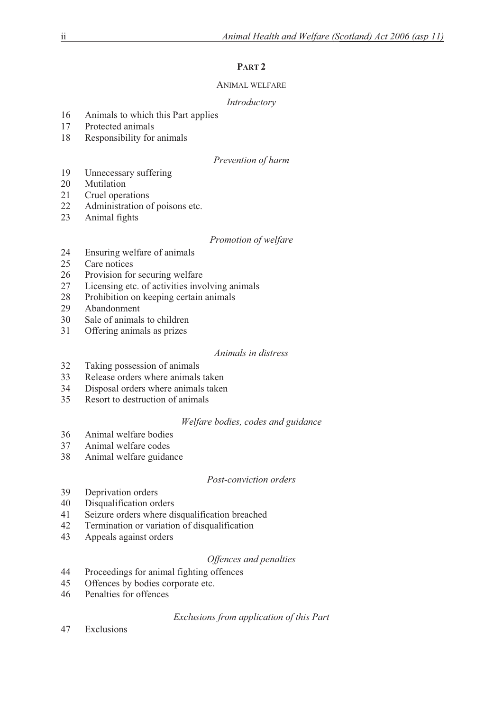# **PART 2**

# ANIMAL WELFARE

# *Introductory*

- 16 Animals to which this Part applies
- 17 Protected animals
- 18 Responsibility for animals

# *Prevention of harm*

- 19 Unnecessary suffering
- 20 Mutilation
- 21 Cruel operations
- 22 Administration of poisons etc.<br>23 Animal fights
- Animal fights

# *Promotion of welfare*

- 24 Ensuring welfare of animals
- 25 Care notices
- 26 Provision for securing welfare
- 27 Licensing etc. of activities involving animals
- 28 Prohibition on keeping certain animals
- 29 Abandonment
- 30 Sale of animals to children
- 31 Offering animals as prizes

# *Animals in distress*

- 32 Taking possession of animals
- 33 Release orders where animals taken
- 34 Disposal orders where animals taken
- 35 Resort to destruction of animals

# *Welfare bodies, codes and guidance*

- 36 Animal welfare bodies
- 37 Animal welfare codes
- 38 Animal welfare guidance

# *Post-conviction orders*

- 39 Deprivation orders<br>40 Disqualification order
- Disqualification orders
- 41 Seizure orders where disqualification breached
- 42 Termination or variation of disqualification
- 43 Appeals against orders

# *Offences and penalties*

- 44 Proceedings for animal fighting offences
- 45 Offences by bodies corporate etc.
- 46 Penalties for offences

*Exclusions from application of this Part* 

47 Exclusions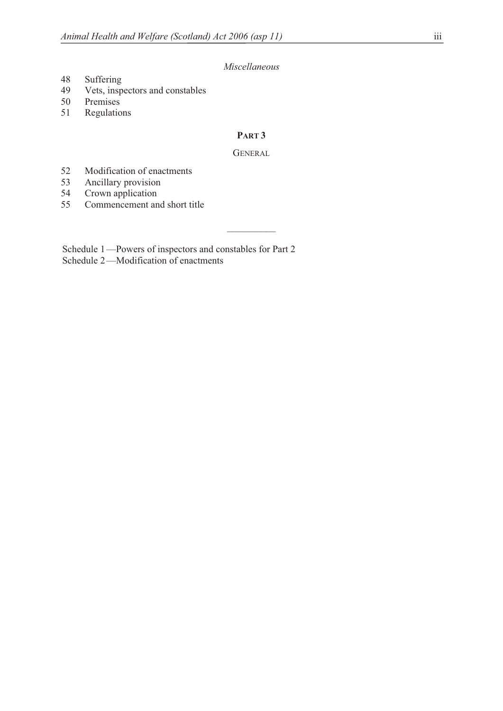# *Miscellaneous*

- 48 Suffering<br>49 Vets, insp
- Vets, inspectors and constables
- 50 Premises
- 51 Regulations

# **PART 3**

#### **GENERAL**

 $\overline{\phantom{a}}$ 

- 52 Modification of enactments<br>53 Ancillary provision
- 53 Ancillary provision<br>54 Crown application
- Crown application
- 55 Commencement and short title

 Schedule 1 —Powers of inspectors and constables for Part 2 Schedule 2—Modification of enactments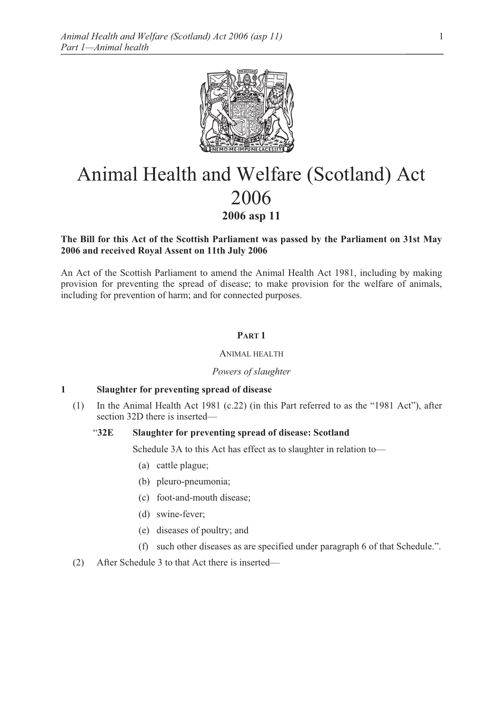

# Animal Health and Welfare (Scotland) Act 2006 **2006 asp 11**

# **The Bill for this Act of the Scottish Parliament was passed by the Parliament on 31st May 2006 and received Royal Assent on 11th July 2006**

An Act of the Scottish Parliament to amend the Animal Health Act 1981, including by making provision for preventing the spread of disease; to make provision for the welfare of animals, including for prevention of harm; and for connected purposes.

# **PART 1**

### ANIMAL HEALTH

### *Powers of slaughter*

# **1 Slaughter for preventing spread of disease**

(1) In the Animal Health Act 1981 (c.22) (in this Part referred to as the "1981 Act"), after section 32D there is inserted—

### "**32E Slaughter for preventing spread of disease: Scotland**

Schedule 3A to this Act has effect as to slaughter in relation to—

- (a) cattle plague;
- (b) pleuro-pneumonia;
- (c) foot-and-mouth disease;
- (d) swine-fever;
- (e) diseases of poultry; and
- (f) such other diseases as are specified under paragraph 6 of that Schedule.".
- (2) After Schedule 3 to that Act there is inserted—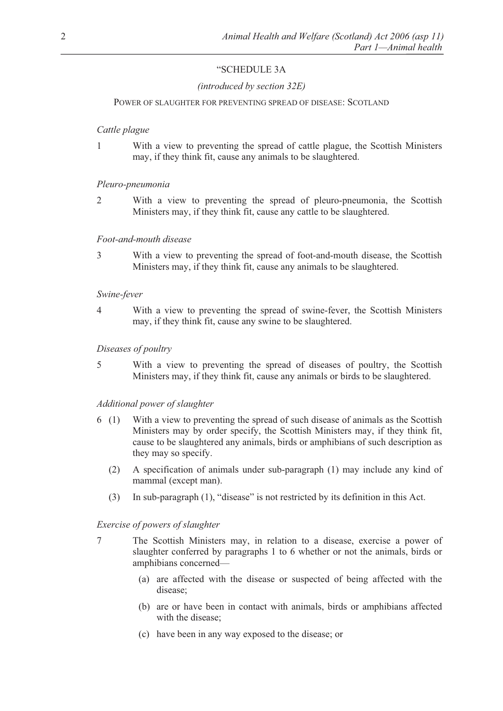# "SCHEDULE 3A

# *(introduced by section 32E)*

### POWER OF SLAUGHTER FOR PREVENTING SPREAD OF DISEASE: SCOTLAND

# *Cattle plague*

1 With a view to preventing the spread of cattle plague, the Scottish Ministers may, if they think fit, cause any animals to be slaughtered.

### *Pleuro-pneumonia*

2 With a view to preventing the spread of pleuro-pneumonia, the Scottish Ministers may, if they think fit, cause any cattle to be slaughtered.

### *Foot-and-mouth disease*

3 With a view to preventing the spread of foot-and-mouth disease, the Scottish Ministers may, if they think fit, cause any animals to be slaughtered.

### *Swine-fever*

4 With a view to preventing the spread of swine-fever, the Scottish Ministers may, if they think fit, cause any swine to be slaughtered.

# *Diseases of poultry*

5 With a view to preventing the spread of diseases of poultry, the Scottish Ministers may, if they think fit, cause any animals or birds to be slaughtered.

### *Additional power of slaughter*

- 6 (1) With a view to preventing the spread of such disease of animals as the Scottish Ministers may by order specify, the Scottish Ministers may, if they think fit, cause to be slaughtered any animals, birds or amphibians of such description as they may so specify.
	- (2) A specification of animals under sub-paragraph (1) may include any kind of mammal (except man).
	- (3) In sub-paragraph (1), "disease" is not restricted by its definition in this Act.

### *Exercise of powers of slaughter*

- 7 The Scottish Ministers may, in relation to a disease, exercise a power of slaughter conferred by paragraphs 1 to 6 whether or not the animals, birds or amphibians concerned—
	- (a) are affected with the disease or suspected of being affected with the disease;
	- (b) are or have been in contact with animals, birds or amphibians affected with the disease;
	- (c) have been in any way exposed to the disease; or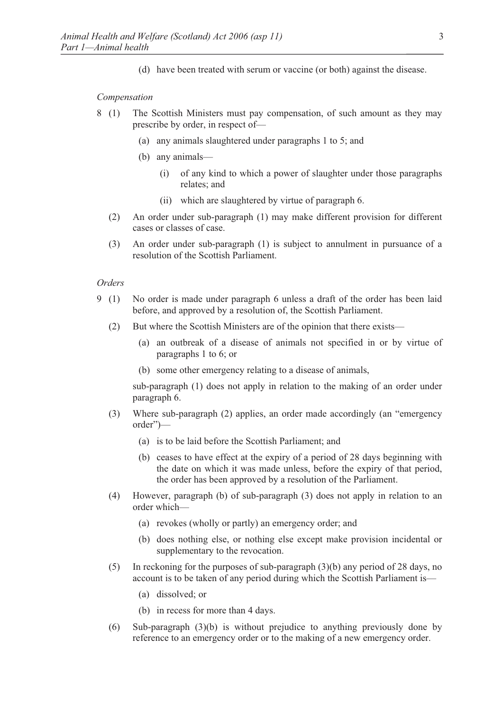(d) have been treated with serum or vaccine (or both) against the disease.

#### *Compensation*

- 8 (1) The Scottish Ministers must pay compensation, of such amount as they may prescribe by order, in respect of—
	- (a) any animals slaughtered under paragraphs 1 to 5; and
	- (b) any animals—
		- (i) of any kind to which a power of slaughter under those paragraphs relates; and
		- (ii) which are slaughtered by virtue of paragraph 6.
	- (2) An order under sub-paragraph (1) may make different provision for different cases or classes of case.
	- (3) An order under sub-paragraph (1) is subject to annulment in pursuance of a resolution of the Scottish Parliament.

#### *Orders*

- 9 (1) No order is made under paragraph 6 unless a draft of the order has been laid before, and approved by a resolution of, the Scottish Parliament.
	- (2) But where the Scottish Ministers are of the opinion that there exists—
		- (a) an outbreak of a disease of animals not specified in or by virtue of paragraphs 1 to 6; or
		- (b) some other emergency relating to a disease of animals,

 sub-paragraph (1) does not apply in relation to the making of an order under paragraph 6.

- (3) Where sub-paragraph (2) applies, an order made accordingly (an "emergency order")—
	- (a) is to be laid before the Scottish Parliament; and
	- (b) ceases to have effect at the expiry of a period of 28 days beginning with the date on which it was made unless, before the expiry of that period, the order has been approved by a resolution of the Parliament.
- (4) However, paragraph (b) of sub-paragraph (3) does not apply in relation to an order which—
	- (a) revokes (wholly or partly) an emergency order; and
	- (b) does nothing else, or nothing else except make provision incidental or supplementary to the revocation.
- (5) In reckoning for the purposes of sub-paragraph (3)(b) any period of 28 days, no account is to be taken of any period during which the Scottish Parliament is—
	- (a) dissolved; or
	- (b) in recess for more than 4 days.
- (6) Sub-paragraph (3)(b) is without prejudice to anything previously done by reference to an emergency order or to the making of a new emergency order.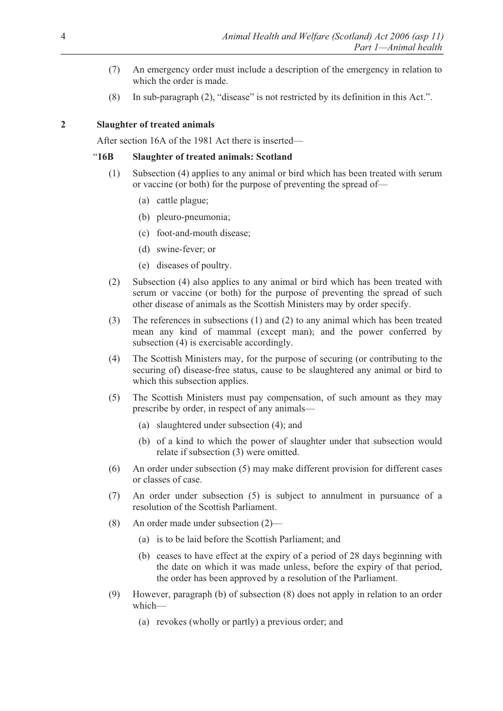- (7) An emergency order must include a description of the emergency in relation to which the order is made.
- (8) In sub-paragraph (2), "disease" is not restricted by its definition in this Act.".

# **2 Slaughter of treated animals**

After section 16A of the 1981 Act there is inserted—

# "**16B Slaughter of treated animals: Scotland**

- (1) Subsection (4) applies to any animal or bird which has been treated with serum or vaccine (or both) for the purpose of preventing the spread of—
	- (a) cattle plague;
	- (b) pleuro-pneumonia;
	- (c) foot-and-mouth disease;
	- (d) swine-fever; or
	- (e) diseases of poultry.
- (2) Subsection (4) also applies to any animal or bird which has been treated with serum or vaccine (or both) for the purpose of preventing the spread of such other disease of animals as the Scottish Ministers may by order specify.
- (3) The references in subsections (1) and (2) to any animal which has been treated mean any kind of mammal (except man); and the power conferred by subsection (4) is exercisable accordingly.
- (4) The Scottish Ministers may, for the purpose of securing (or contributing to the securing of) disease-free status, cause to be slaughtered any animal or bird to which this subsection applies.
- (5) The Scottish Ministers must pay compensation, of such amount as they may prescribe by order, in respect of any animals—
	- (a) slaughtered under subsection (4); and
	- (b) of a kind to which the power of slaughter under that subsection would relate if subsection (3) were omitted.
- (6) An order under subsection (5) may make different provision for different cases or classes of case.
- (7) An order under subsection (5) is subject to annulment in pursuance of a resolution of the Scottish Parliament.
- (8) An order made under subsection (2)—
	- (a) is to be laid before the Scottish Parliament; and
	- (b) ceases to have effect at the expiry of a period of 28 days beginning with the date on which it was made unless, before the expiry of that period, the order has been approved by a resolution of the Parliament.
- (9) However, paragraph (b) of subsection (8) does not apply in relation to an order which—
	- (a) revokes (wholly or partly) a previous order; and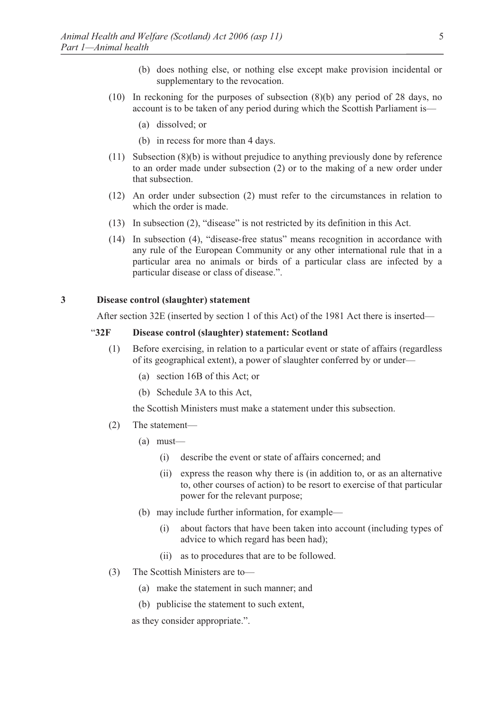- (b) does nothing else, or nothing else except make provision incidental or supplementary to the revocation.
- (10) In reckoning for the purposes of subsection (8)(b) any period of 28 days, no account is to be taken of any period during which the Scottish Parliament is—
	- (a) dissolved; or
	- (b) in recess for more than 4 days.
- (11) Subsection (8)(b) is without prejudice to anything previously done by reference to an order made under subsection (2) or to the making of a new order under that subsection.
- (12) An order under subsection (2) must refer to the circumstances in relation to which the order is made.
- (13) In subsection (2), "disease" is not restricted by its definition in this Act.
- (14) In subsection (4), "disease-free status" means recognition in accordance with any rule of the European Community or any other international rule that in a particular area no animals or birds of a particular class are infected by a particular disease or class of disease.".

#### **3 Disease control (slaughter) statement**

After section 32E (inserted by section 1 of this Act) of the 1981 Act there is inserted—

#### "**32F Disease control (slaughter) statement: Scotland**

- (1) Before exercising, in relation to a particular event or state of affairs (regardless of its geographical extent), a power of slaughter conferred by or under—
	- (a) section 16B of this Act; or
	- (b) Schedule 3A to this Act,

the Scottish Ministers must make a statement under this subsection.

- (2) The statement—
	- (a) must—
		- (i) describe the event or state of affairs concerned; and
		- (ii) express the reason why there is (in addition to, or as an alternative to, other courses of action) to be resort to exercise of that particular power for the relevant purpose;
	- (b) may include further information, for example—
		- (i) about factors that have been taken into account (including types of advice to which regard has been had);
		- (ii) as to procedures that are to be followed.
- (3) The Scottish Ministers are to—
	- (a) make the statement in such manner; and
	- (b) publicise the statement to such extent,

as they consider appropriate.".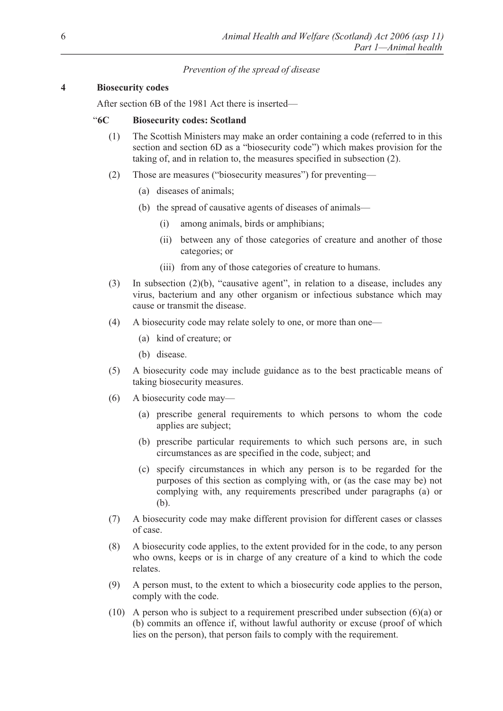# *Prevention of the spread of disease*

# **4 Biosecurity codes**

After section 6B of the 1981 Act there is inserted—

# "**6C Biosecurity codes: Scotland**

- (1) The Scottish Ministers may make an order containing a code (referred to in this section and section 6D as a "biosecurity code") which makes provision for the taking of, and in relation to, the measures specified in subsection (2).
- (2) Those are measures ("biosecurity measures") for preventing—
	- (a) diseases of animals;
	- (b) the spread of causative agents of diseases of animals—
		- (i) among animals, birds or amphibians;
		- (ii) between any of those categories of creature and another of those categories; or
		- (iii) from any of those categories of creature to humans.
- (3) In subsection (2)(b), "causative agent", in relation to a disease, includes any virus, bacterium and any other organism or infectious substance which may cause or transmit the disease.
- (4) A biosecurity code may relate solely to one, or more than one—
	- (a) kind of creature; or
	- (b) disease.
- (5) A biosecurity code may include guidance as to the best practicable means of taking biosecurity measures.
- (6) A biosecurity code may—
	- (a) prescribe general requirements to which persons to whom the code applies are subject;
	- (b) prescribe particular requirements to which such persons are, in such circumstances as are specified in the code, subject; and
	- (c) specify circumstances in which any person is to be regarded for the purposes of this section as complying with, or (as the case may be) not complying with, any requirements prescribed under paragraphs (a) or (b).
- (7) A biosecurity code may make different provision for different cases or classes of case.
- (8) A biosecurity code applies, to the extent provided for in the code, to any person who owns, keeps or is in charge of any creature of a kind to which the code relates.
- (9) A person must, to the extent to which a biosecurity code applies to the person, comply with the code.
- (10) A person who is subject to a requirement prescribed under subsection (6)(a) or (b) commits an offence if, without lawful authority or excuse (proof of which lies on the person), that person fails to comply with the requirement.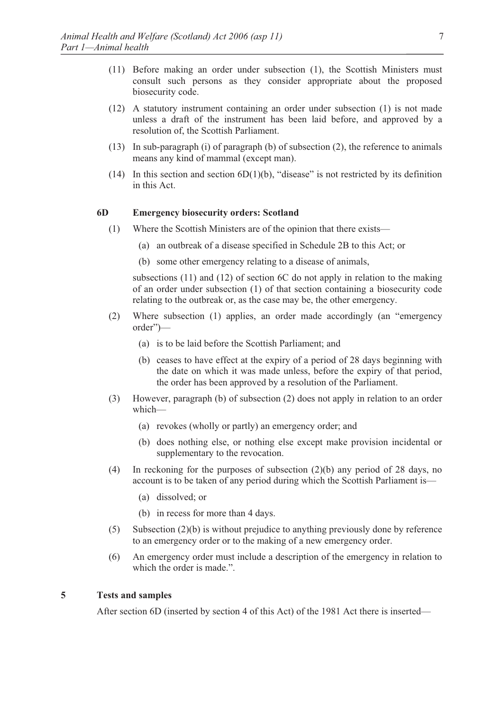- (11) Before making an order under subsection (1), the Scottish Ministers must consult such persons as they consider appropriate about the proposed biosecurity code.
- (12) A statutory instrument containing an order under subsection (1) is not made unless a draft of the instrument has been laid before, and approved by a resolution of, the Scottish Parliament.
- (13) In sub-paragraph (i) of paragraph (b) of subsection (2), the reference to animals means any kind of mammal (except man).
- (14) In this section and section  $6D(1)(b)$ , "disease" is not restricted by its definition in this Act.

#### **6D Emergency biosecurity orders: Scotland**

- (1) Where the Scottish Ministers are of the opinion that there exists—
	- (a) an outbreak of a disease specified in Schedule 2B to this Act; or
	- (b) some other emergency relating to a disease of animals,

 subsections (11) and (12) of section 6C do not apply in relation to the making of an order under subsection (1) of that section containing a biosecurity code relating to the outbreak or, as the case may be, the other emergency.

- (2) Where subsection (1) applies, an order made accordingly (an "emergency order")—
	- (a) is to be laid before the Scottish Parliament; and
	- (b) ceases to have effect at the expiry of a period of 28 days beginning with the date on which it was made unless, before the expiry of that period, the order has been approved by a resolution of the Parliament.
- (3) However, paragraph (b) of subsection (2) does not apply in relation to an order which—
	- (a) revokes (wholly or partly) an emergency order; and
	- (b) does nothing else, or nothing else except make provision incidental or supplementary to the revocation.
- (4) In reckoning for the purposes of subsection (2)(b) any period of 28 days, no account is to be taken of any period during which the Scottish Parliament is—
	- (a) dissolved; or
	- (b) in recess for more than 4 days.
- (5) Subsection (2)(b) is without prejudice to anything previously done by reference to an emergency order or to the making of a new emergency order.
- (6) An emergency order must include a description of the emergency in relation to which the order is made.".

#### **5 Tests and samples**

After section 6D (inserted by section 4 of this Act) of the 1981 Act there is inserted—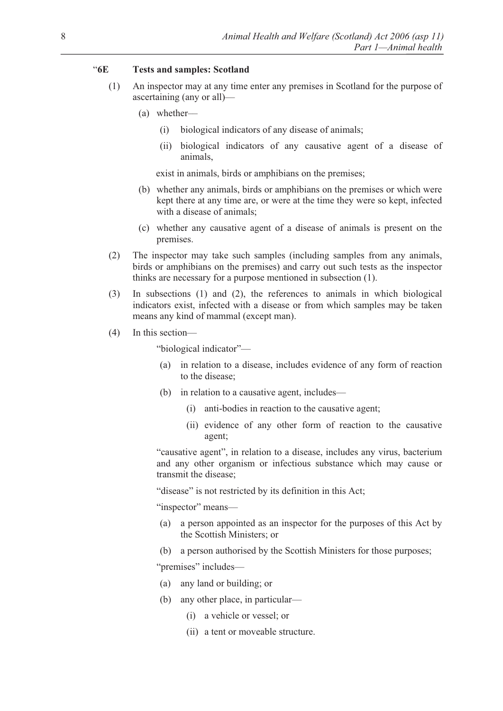# "**6E Tests and samples: Scotland**

- (1) An inspector may at any time enter any premises in Scotland for the purpose of ascertaining (any or all)—
	- (a) whether––
		- (i) biological indicators of any disease of animals;
		- (ii) biological indicators of any causative agent of a disease of animals,

exist in animals, birds or amphibians on the premises;

- (b) whether any animals, birds or amphibians on the premises or which were kept there at any time are, or were at the time they were so kept, infected with a disease of animals;
- (c) whether any causative agent of a disease of animals is present on the premises.
- (2) The inspector may take such samples (including samples from any animals, birds or amphibians on the premises) and carry out such tests as the inspector thinks are necessary for a purpose mentioned in subsection (1).
- (3) In subsections (1) and (2), the references to animals in which biological indicators exist, infected with a disease or from which samples may be taken means any kind of mammal (except man).
- (4) In this section—

"biological indicator"—

- (a) in relation to a disease, includes evidence of any form of reaction to the disease;
- (b) in relation to a causative agent, includes—
	- (i) anti-bodies in reaction to the causative agent;
	- (ii) evidence of any other form of reaction to the causative agent;

 "causative agent", in relation to a disease, includes any virus, bacterium and any other organism or infectious substance which may cause or transmit the disease;

"disease" is not restricted by its definition in this Act;

"inspector" means—

- (a) a person appointed as an inspector for the purposes of this Act by the Scottish Ministers; or
- (b) a person authorised by the Scottish Ministers for those purposes;

"premises" includes—

- (a) any land or building; or
- (b) any other place, in particular—
	- (i) a vehicle or vessel; or
	- (ii) a tent or moveable structure.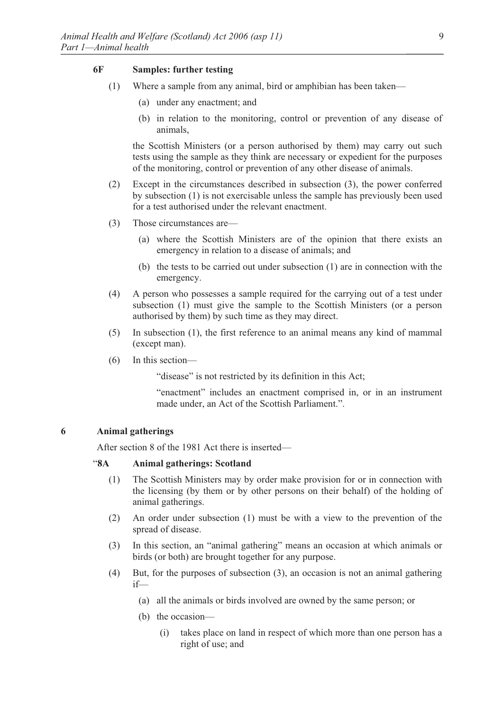# **6F Samples: further testing**

- (1) Where a sample from any animal, bird or amphibian has been taken—
	- (a) under any enactment; and
	- (b) in relation to the monitoring, control or prevention of any disease of animals,

 the Scottish Ministers (or a person authorised by them) may carry out such tests using the sample as they think are necessary or expedient for the purposes of the monitoring, control or prevention of any other disease of animals.

- (2) Except in the circumstances described in subsection (3), the power conferred by subsection (1) is not exercisable unless the sample has previously been used for a test authorised under the relevant enactment.
- (3) Those circumstances are—
	- (a) where the Scottish Ministers are of the opinion that there exists an emergency in relation to a disease of animals; and
	- (b) the tests to be carried out under subsection (1) are in connection with the emergency.
- (4) A person who possesses a sample required for the carrying out of a test under subsection (1) must give the sample to the Scottish Ministers (or a person authorised by them) by such time as they may direct.
- (5) In subsection (1), the first reference to an animal means any kind of mammal (except man).
- (6) In this section—

"disease" is not restricted by its definition in this Act;

 "enactment" includes an enactment comprised in, or in an instrument made under, an Act of the Scottish Parliament".

#### **6 Animal gatherings**

After section 8 of the 1981 Act there is inserted—

#### "**8A Animal gatherings: Scotland**

- (1) The Scottish Ministers may by order make provision for or in connection with the licensing (by them or by other persons on their behalf) of the holding of animal gatherings.
- (2) An order under subsection (1) must be with a view to the prevention of the spread of disease.
- (3) In this section, an "animal gathering" means an occasion at which animals or birds (or both) are brought together for any purpose.
- (4) But, for the purposes of subsection (3), an occasion is not an animal gathering if—
	- (a) all the animals or birds involved are owned by the same person; or
	- (b) the occasion—
		- (i) takes place on land in respect of which more than one person has a right of use; and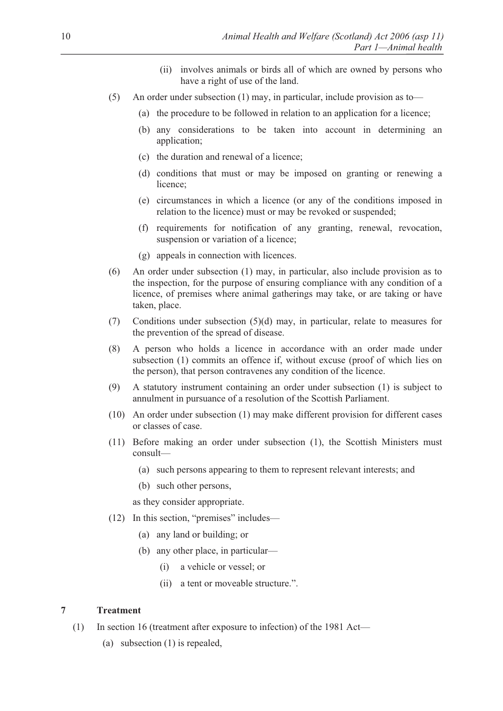- (ii) involves animals or birds all of which are owned by persons who have a right of use of the land.
- (5) An order under subsection (1) may, in particular, include provision as to—
	- (a) the procedure to be followed in relation to an application for a licence;
	- (b) any considerations to be taken into account in determining an application;
	- (c) the duration and renewal of a licence;
	- (d) conditions that must or may be imposed on granting or renewing a licence;
	- (e) circumstances in which a licence (or any of the conditions imposed in relation to the licence) must or may be revoked or suspended;
	- (f) requirements for notification of any granting, renewal, revocation, suspension or variation of a licence;
	- (g) appeals in connection with licences.
- (6) An order under subsection (1) may, in particular, also include provision as to the inspection, for the purpose of ensuring compliance with any condition of a licence, of premises where animal gatherings may take, or are taking or have taken, place.
- (7) Conditions under subsection (5)(d) may, in particular, relate to measures for the prevention of the spread of disease.
- (8) A person who holds a licence in accordance with an order made under subsection (1) commits an offence if, without excuse (proof of which lies on the person), that person contravenes any condition of the licence.
- (9) A statutory instrument containing an order under subsection (1) is subject to annulment in pursuance of a resolution of the Scottish Parliament.
- (10) An order under subsection (1) may make different provision for different cases or classes of case.
- (11) Before making an order under subsection (1), the Scottish Ministers must consult—
	- (a) such persons appearing to them to represent relevant interests; and
	- (b) such other persons,

as they consider appropriate.

- (12) In this section, "premises" includes—
	- (a) any land or building; or
	- (b) any other place, in particular—
		- (i) a vehicle or vessel; or
		- (ii) a tent or moveable structure.".

# **7 Treatment**

- (1) In section 16 (treatment after exposure to infection) of the 1981 Act—
	- (a) subsection (1) is repealed,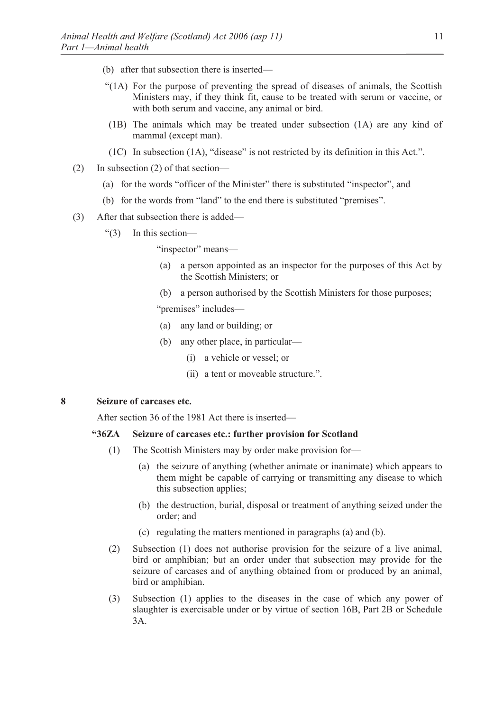- (b) after that subsection there is inserted—
- "(1A) For the purpose of preventing the spread of diseases of animals, the Scottish Ministers may, if they think fit, cause to be treated with serum or vaccine, or with both serum and vaccine, any animal or bird.
- (1B) The animals which may be treated under subsection (1A) are any kind of mammal (except man).
- (1C) In subsection (1A), "disease" is not restricted by its definition in this Act.".
- (2) In subsection (2) of that section—
	- (a) for the words "officer of the Minister" there is substituted "inspector", and
	- (b) for the words from "land" to the end there is substituted "premises".
- (3) After that subsection there is added—
	- "(3) In this section—

"inspector" means—

- (a) a person appointed as an inspector for the purposes of this Act by the Scottish Ministers; or
- (b) a person authorised by the Scottish Ministers for those purposes;

"premises" includes—

- (a) any land or building; or
- (b) any other place, in particular—
	- (i) a vehicle or vessel; or
	- (ii) a tent or moveable structure.".

#### **8 Seizure of carcases etc.**

After section 36 of the 1981 Act there is inserted—

# **"36ZA Seizure of carcases etc.: further provision for Scotland**

- (1) The Scottish Ministers may by order make provision for—
	- (a) the seizure of anything (whether animate or inanimate) which appears to them might be capable of carrying or transmitting any disease to which this subsection applies;
	- (b) the destruction, burial, disposal or treatment of anything seized under the order; and
	- (c) regulating the matters mentioned in paragraphs (a) and (b).
- (2) Subsection (1) does not authorise provision for the seizure of a live animal, bird or amphibian; but an order under that subsection may provide for the seizure of carcases and of anything obtained from or produced by an animal, bird or amphibian.
- (3) Subsection (1) applies to the diseases in the case of which any power of slaughter is exercisable under or by virtue of section 16B, Part 2B or Schedule 3A.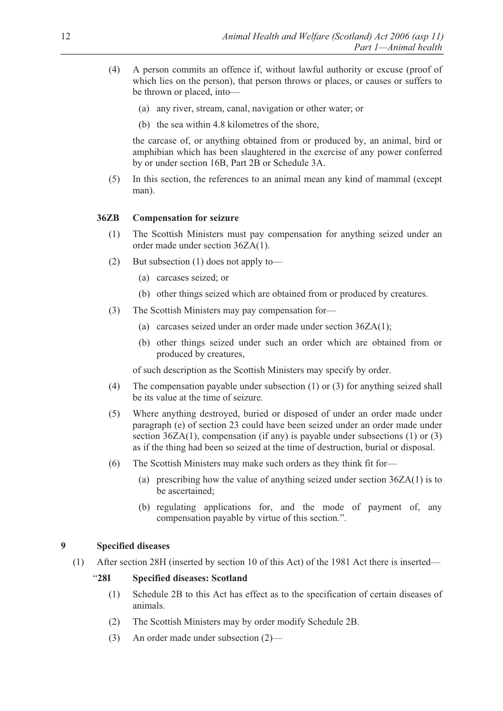- (4) A person commits an offence if, without lawful authority or excuse (proof of which lies on the person), that person throws or places, or causes or suffers to be thrown or placed, into—
	- (a) any river, stream, canal, navigation or other water; or
	- (b) the sea within 4.8 kilometres of the shore,

 the carcase of, or anything obtained from or produced by, an animal, bird or amphibian which has been slaughtered in the exercise of any power conferred by or under section 16B, Part 2B or Schedule 3A.

(5) In this section, the references to an animal mean any kind of mammal (except man).

# **36ZB Compensation for seizure**

- (1) The Scottish Ministers must pay compensation for anything seized under an order made under section 36ZA(1).
- (2) But subsection (1) does not apply to—
	- (a) carcases seized; or
	- (b) other things seized which are obtained from or produced by creatures.
- (3) The Scottish Ministers may pay compensation for—
	- (a) carcases seized under an order made under section 36ZA(1);
	- (b) other things seized under such an order which are obtained from or produced by creatures,

of such description as the Scottish Ministers may specify by order.

- (4) The compensation payable under subsection (1) or (3) for anything seized shall be its value at the time of seizure.
- (5) Where anything destroyed, buried or disposed of under an order made under paragraph (e) of section 23 could have been seized under an order made under section 36ZA(1), compensation (if any) is payable under subsections (1) or (3) as if the thing had been so seized at the time of destruction, burial or disposal.
- (6) The Scottish Ministers may make such orders as they think fit for—
	- (a) prescribing how the value of anything seized under section 36ZA(1) is to be ascertained;
	- (b) regulating applications for, and the mode of payment of, any compensation payable by virtue of this section.".

# **9 Specified diseases**

(1) After section 28H (inserted by section 10 of this Act) of the 1981 Act there is inserted—

# "**28I Specified diseases: Scotland**

- (1) Schedule 2B to this Act has effect as to the specification of certain diseases of animals.
- (2) The Scottish Ministers may by order modify Schedule 2B.
- (3) An order made under subsection (2)—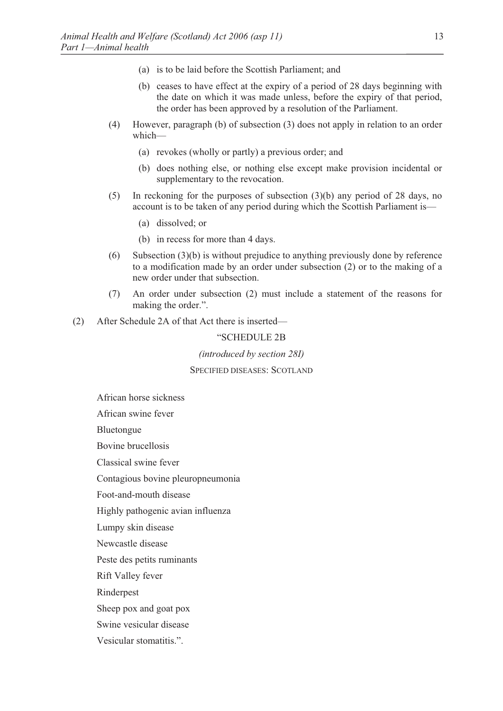- (a) is to be laid before the Scottish Parliament; and
- (b) ceases to have effect at the expiry of a period of 28 days beginning with the date on which it was made unless, before the expiry of that period, the order has been approved by a resolution of the Parliament.
- (4) However, paragraph (b) of subsection (3) does not apply in relation to an order which—
	- (a) revokes (wholly or partly) a previous order; and
	- (b) does nothing else, or nothing else except make provision incidental or supplementary to the revocation.
- (5) In reckoning for the purposes of subsection (3)(b) any period of 28 days, no account is to be taken of any period during which the Scottish Parliament is—
	- (a) dissolved; or
	- (b) in recess for more than 4 days.
- (6) Subsection (3)(b) is without prejudice to anything previously done by reference to a modification made by an order under subsection (2) or to the making of a new order under that subsection.
- (7) An order under subsection (2) must include a statement of the reasons for making the order.".
- (2) After Schedule 2A of that Act there is inserted—

#### "SCHEDULE 2B

*(introduced by section 28I)* 

SPECIFIED DISEASES: SCOTLAND

African horse sickness

African swine fever

Bluetongue

Bovine brucellosis

Classical swine fever

Contagious bovine pleuropneumonia

Foot-and-mouth disease

Highly pathogenic avian influenza

Lumpy skin disease

Newcastle disease

Peste des petits ruminants

Rift Valley fever

Rinderpest

Sheep pox and goat pox

Swine vesicular disease

Vesicular stomatitis.".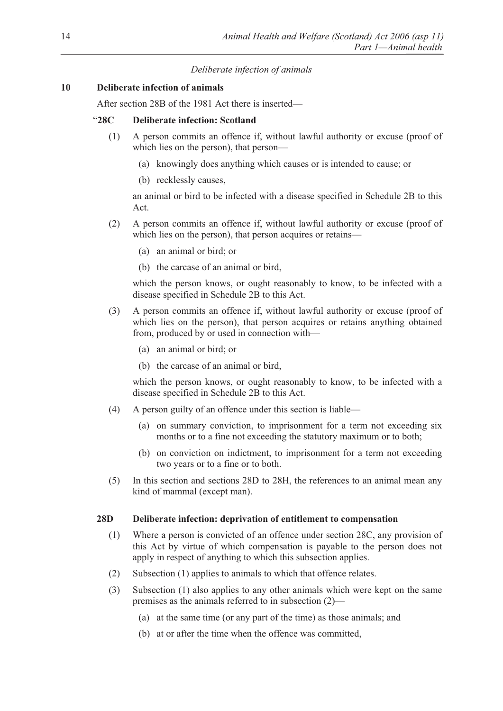# *Deliberate infection of animals*

# **10 Deliberate infection of animals**

After section 28B of the 1981 Act there is inserted—

# "**28C Deliberate infection: Scotland**

- (1) A person commits an offence if, without lawful authority or excuse (proof of which lies on the person), that person—
	- (a) knowingly does anything which causes or is intended to cause; or
	- (b) recklessly causes,

 an animal or bird to be infected with a disease specified in Schedule 2B to this Act.

- (2) A person commits an offence if, without lawful authority or excuse (proof of which lies on the person), that person acquires or retains—
	- (a) an animal or bird; or
	- (b) the carcase of an animal or bird,

 which the person knows, or ought reasonably to know, to be infected with a disease specified in Schedule 2B to this Act.

- (3) A person commits an offence if, without lawful authority or excuse (proof of which lies on the person), that person acquires or retains anything obtained from, produced by or used in connection with—
	- (a) an animal or bird; or
	- (b) the carcase of an animal or bird,

 which the person knows, or ought reasonably to know, to be infected with a disease specified in Schedule 2B to this Act.

- (4) A person guilty of an offence under this section is liable—
	- (a) on summary conviction, to imprisonment for a term not exceeding six months or to a fine not exceeding the statutory maximum or to both;
	- (b) on conviction on indictment, to imprisonment for a term not exceeding two years or to a fine or to both.
- (5) In this section and sections 28D to 28H, the references to an animal mean any kind of mammal (except man).

### **28D Deliberate infection: deprivation of entitlement to compensation**

- (1) Where a person is convicted of an offence under section 28C, any provision of this Act by virtue of which compensation is payable to the person does not apply in respect of anything to which this subsection applies.
- (2) Subsection (1) applies to animals to which that offence relates.
- (3) Subsection (1) also applies to any other animals which were kept on the same premises as the animals referred to in subsection (2)—
	- (a) at the same time (or any part of the time) as those animals; and
	- (b) at or after the time when the offence was committed,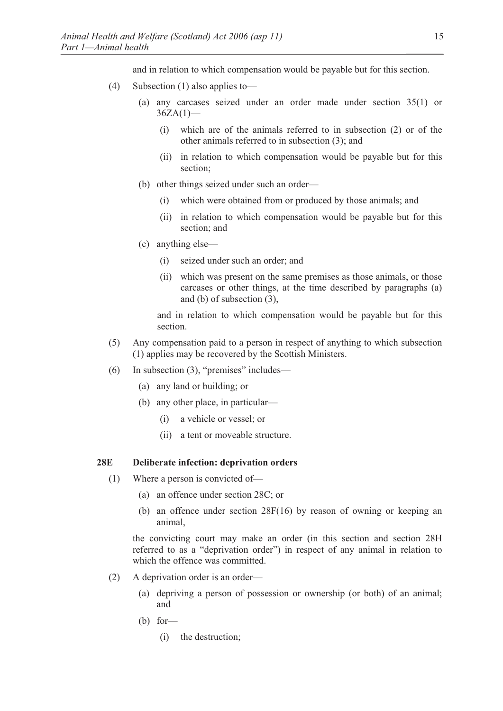and in relation to which compensation would be payable but for this section.

- (4) Subsection (1) also applies to—
	- (a) any carcases seized under an order made under section 35(1) or  $36ZA(1)$ 
		- (i) which are of the animals referred to in subsection (2) or of the other animals referred to in subsection (3); and
		- (ii) in relation to which compensation would be payable but for this section;
	- (b) other things seized under such an order—
		- (i) which were obtained from or produced by those animals; and
		- (ii) in relation to which compensation would be payable but for this section; and
	- (c) anything else—
		- (i) seized under such an order; and
		- (ii) which was present on the same premises as those animals, or those carcases or other things, at the time described by paragraphs (a) and (b) of subsection (3),

 and in relation to which compensation would be payable but for this section.

- (5) Any compensation paid to a person in respect of anything to which subsection (1) applies may be recovered by the Scottish Ministers.
- (6) In subsection  $(3)$ , "premises" includes—
	- (a) any land or building; or
	- (b) any other place, in particular—
		- (i) a vehicle or vessel; or
		- (ii) a tent or moveable structure.

#### **28E Deliberate infection: deprivation orders**

- (1) Where a person is convicted of—
	- (a) an offence under section 28C; or
	- (b) an offence under section 28F(16) by reason of owning or keeping an animal,

 the convicting court may make an order (in this section and section 28H referred to as a "deprivation order") in respect of any animal in relation to which the offence was committed.

- (2) A deprivation order is an order—
	- (a) depriving a person of possession or ownership (or both) of an animal; and
	- $(b)$  for
		- (i) the destruction;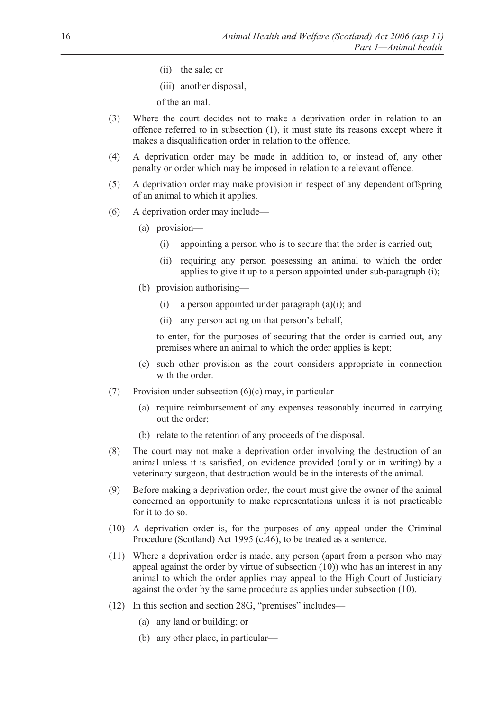- (ii) the sale; or
- (iii) another disposal,

of the animal.

- (3) Where the court decides not to make a deprivation order in relation to an offence referred to in subsection (1), it must state its reasons except where it makes a disqualification order in relation to the offence.
- (4) A deprivation order may be made in addition to, or instead of, any other penalty or order which may be imposed in relation to a relevant offence.
- (5) A deprivation order may make provision in respect of any dependent offspring of an animal to which it applies.
- (6) A deprivation order may include—
	- (a) provision—
		- (i) appointing a person who is to secure that the order is carried out;
		- (ii) requiring any person possessing an animal to which the order applies to give it up to a person appointed under sub-paragraph (i);
	- (b) provision authorising—
		- (i) a person appointed under paragraph  $(a)(i)$ ; and
		- (ii) any person acting on that person's behalf,

 to enter, for the purposes of securing that the order is carried out, any premises where an animal to which the order applies is kept;

- (c) such other provision as the court considers appropriate in connection with the order.
- (7) Provision under subsection  $(6)(c)$  may, in particular—
	- (a) require reimbursement of any expenses reasonably incurred in carrying out the order;
	- (b) relate to the retention of any proceeds of the disposal.
- (8) The court may not make a deprivation order involving the destruction of an animal unless it is satisfied, on evidence provided (orally or in writing) by a veterinary surgeon, that destruction would be in the interests of the animal.
- (9) Before making a deprivation order, the court must give the owner of the animal concerned an opportunity to make representations unless it is not practicable for it to do so.
- (10) A deprivation order is, for the purposes of any appeal under the Criminal Procedure (Scotland) Act 1995 (c.46), to be treated as a sentence.
- (11) Where a deprivation order is made, any person (apart from a person who may appeal against the order by virtue of subsection (10)) who has an interest in any animal to which the order applies may appeal to the High Court of Justiciary against the order by the same procedure as applies under subsection (10).
- (12) In this section and section 28G, "premises" includes—
	- (a) any land or building; or
	- (b) any other place, in particular—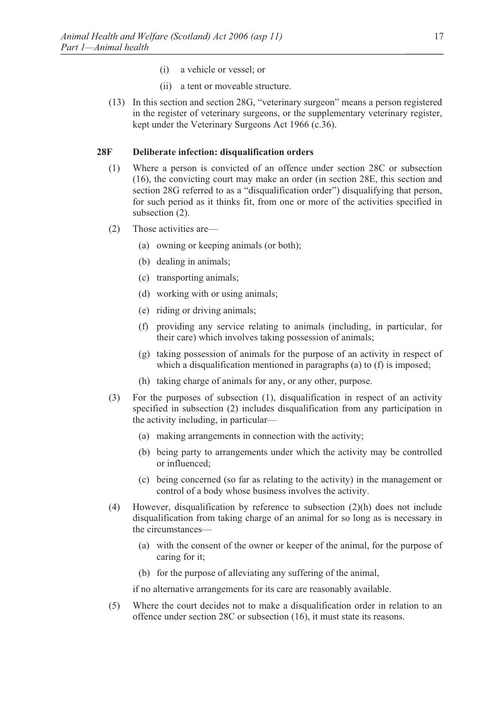- (i) a vehicle or vessel; or
- (ii) a tent or moveable structure.
- (13) In this section and section 28G, "veterinary surgeon" means a person registered in the register of veterinary surgeons, or the supplementary veterinary register, kept under the Veterinary Surgeons Act 1966 (c.36).

# **28F Deliberate infection: disqualification orders**

- (1) Where a person is convicted of an offence under section 28C or subsection (16), the convicting court may make an order (in section 28E, this section and section 28G referred to as a "disqualification order") disqualifying that person, for such period as it thinks fit, from one or more of the activities specified in subsection (2).
- (2) Those activities are—
	- (a) owning or keeping animals (or both);
	- (b) dealing in animals;
	- (c) transporting animals;
	- (d) working with or using animals;
	- (e) riding or driving animals;
	- (f) providing any service relating to animals (including, in particular, for their care) which involves taking possession of animals;
	- (g) taking possession of animals for the purpose of an activity in respect of which a disqualification mentioned in paragraphs (a) to (f) is imposed;
	- (h) taking charge of animals for any, or any other, purpose.
- (3) For the purposes of subsection (1), disqualification in respect of an activity specified in subsection (2) includes disqualification from any participation in the activity including, in particular—
	- (a) making arrangements in connection with the activity;
	- (b) being party to arrangements under which the activity may be controlled or influenced;
	- (c) being concerned (so far as relating to the activity) in the management or control of a body whose business involves the activity.
- (4) However, disqualification by reference to subsection (2)(h) does not include disqualification from taking charge of an animal for so long as is necessary in the circumstances—
	- (a) with the consent of the owner or keeper of the animal, for the purpose of caring for it;
	- (b) for the purpose of alleviating any suffering of the animal,

if no alternative arrangements for its care are reasonably available.

(5) Where the court decides not to make a disqualification order in relation to an offence under section 28C or subsection (16), it must state its reasons.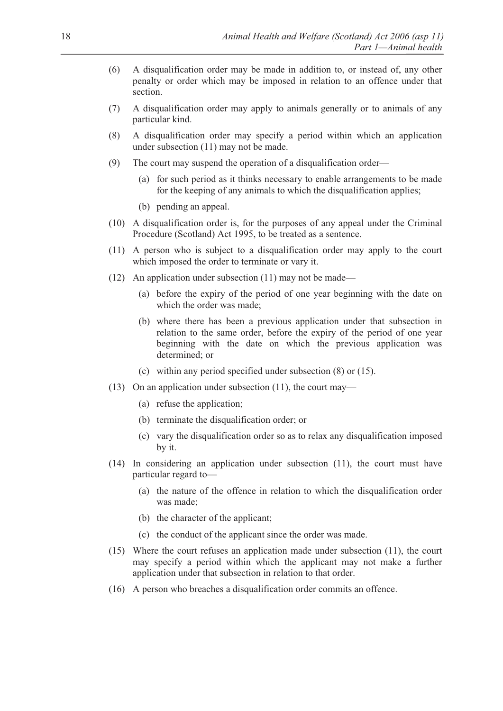- (6) A disqualification order may be made in addition to, or instead of, any other penalty or order which may be imposed in relation to an offence under that section.
- (7) A disqualification order may apply to animals generally or to animals of any particular kind.
- (8) A disqualification order may specify a period within which an application under subsection (11) may not be made.
- (9) The court may suspend the operation of a disqualification order—
	- (a) for such period as it thinks necessary to enable arrangements to be made for the keeping of any animals to which the disqualification applies;
	- (b) pending an appeal.
- (10) A disqualification order is, for the purposes of any appeal under the Criminal Procedure (Scotland) Act 1995, to be treated as a sentence.
- (11) A person who is subject to a disqualification order may apply to the court which imposed the order to terminate or vary it.
- (12) An application under subsection (11) may not be made—
	- (a) before the expiry of the period of one year beginning with the date on which the order was made;
	- (b) where there has been a previous application under that subsection in relation to the same order, before the expiry of the period of one year beginning with the date on which the previous application was determined; or
	- (c) within any period specified under subsection (8) or (15).
- (13) On an application under subsection (11), the court may—
	- (a) refuse the application;
	- (b) terminate the disqualification order; or
	- (c) vary the disqualification order so as to relax any disqualification imposed by it.
- (14) In considering an application under subsection (11), the court must have particular regard to—
	- (a) the nature of the offence in relation to which the disqualification order was made;
	- (b) the character of the applicant;
	- (c) the conduct of the applicant since the order was made.
- (15) Where the court refuses an application made under subsection (11), the court may specify a period within which the applicant may not make a further application under that subsection in relation to that order.
- (16) A person who breaches a disqualification order commits an offence.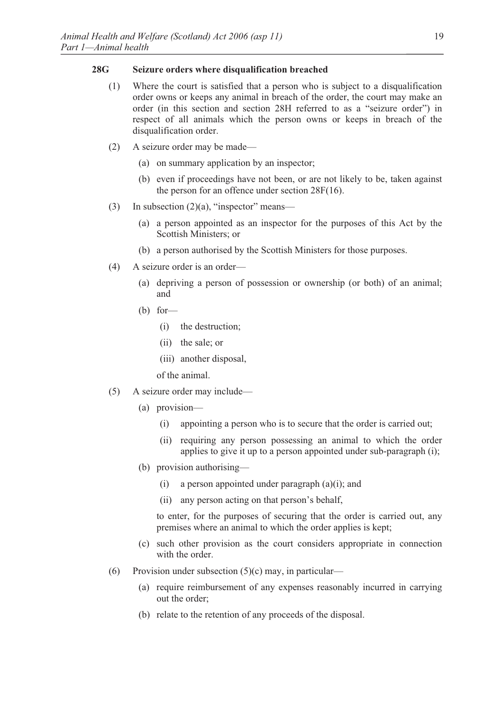# **28G Seizure orders where disqualification breached**

- (1) Where the court is satisfied that a person who is subject to a disqualification order owns or keeps any animal in breach of the order, the court may make an order (in this section and section 28H referred to as a "seizure order") in respect of all animals which the person owns or keeps in breach of the disqualification order.
- (2) A seizure order may be made—
	- (a) on summary application by an inspector;
	- (b) even if proceedings have not been, or are not likely to be, taken against the person for an offence under section 28F(16).
- (3) In subsection  $(2)(a)$ , "inspector" means—
	- (a) a person appointed as an inspector for the purposes of this Act by the Scottish Ministers; or
	- (b) a person authorised by the Scottish Ministers for those purposes.
- (4) A seizure order is an order—
	- (a) depriving a person of possession or ownership (or both) of an animal; and
	- (b) for—
		- (i) the destruction;
		- (ii) the sale; or
		- (iii) another disposal,

of the animal.

- (5) A seizure order may include—
	- (a) provision—
		- (i) appointing a person who is to secure that the order is carried out;
		- (ii) requiring any person possessing an animal to which the order applies to give it up to a person appointed under sub-paragraph (i);
	- (b) provision authorising—
		- (i) a person appointed under paragraph  $(a)(i)$ ; and
		- (ii) any person acting on that person's behalf,

 to enter, for the purposes of securing that the order is carried out, any premises where an animal to which the order applies is kept;

- (c) such other provision as the court considers appropriate in connection with the order.
- (6) Provision under subsection  $(5)(c)$  may, in particular—
	- (a) require reimbursement of any expenses reasonably incurred in carrying out the order;
	- (b) relate to the retention of any proceeds of the disposal.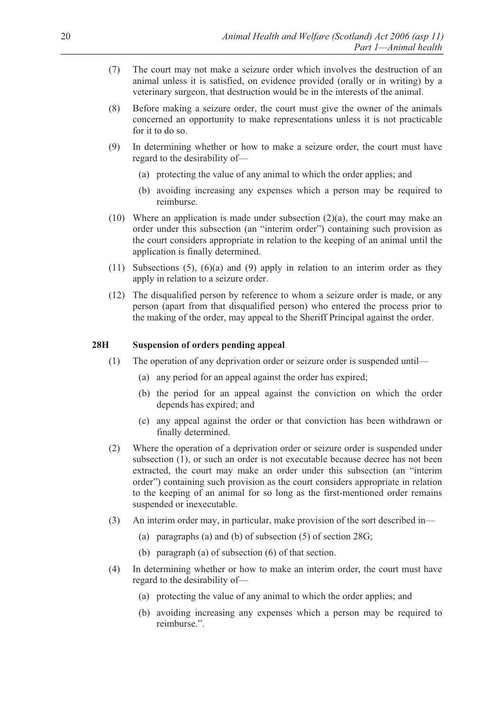- (7) The court may not make a seizure order which involves the destruction of an animal unless it is satisfied, on evidence provided (orally or in writing) by a veterinary surgeon, that destruction would be in the interests of the animal.
- (8) Before making a seizure order, the court must give the owner of the animals concerned an opportunity to make representations unless it is not practicable for it to do so.
- (9) In determining whether or how to make a seizure order, the court must have regard to the desirability of—
	- (a) protecting the value of any animal to which the order applies; and
	- (b) avoiding increasing any expenses which a person may be required to reimburse.
- (10) Where an application is made under subsection  $(2)(a)$ , the court may make an order under this subsection (an "interim order") containing such provision as the court considers appropriate in relation to the keeping of an animal until the application is finally determined.
- $(11)$  Subsections  $(5)$ ,  $(6)(a)$  and  $(9)$  apply in relation to an interim order as they apply in relation to a seizure order.
- (12) The disqualified person by reference to whom a seizure order is made, or any person (apart from that disqualified person) who entered the process prior to the making of the order, may appeal to the Sheriff Principal against the order.

### **28H Suspension of orders pending appeal**

- (1) The operation of any deprivation order or seizure order is suspended until—
	- (a) any period for an appeal against the order has expired;
	- (b) the period for an appeal against the conviction on which the order depends has expired; and
	- (c) any appeal against the order or that conviction has been withdrawn or finally determined.
- (2) Where the operation of a deprivation order or seizure order is suspended under subsection (1), or such an order is not executable because decree has not been extracted, the court may make an order under this subsection (an "interim order") containing such provision as the court considers appropriate in relation to the keeping of an animal for so long as the first-mentioned order remains suspended or inexecutable.
- (3) An interim order may, in particular, make provision of the sort described in—
	- (a) paragraphs (a) and (b) of subsection (5) of section 28G;
	- (b) paragraph (a) of subsection (6) of that section.
- (4) In determining whether or how to make an interim order, the court must have regard to the desirability of—
	- (a) protecting the value of any animal to which the order applies; and
	- (b) avoiding increasing any expenses which a person may be required to reimburse.".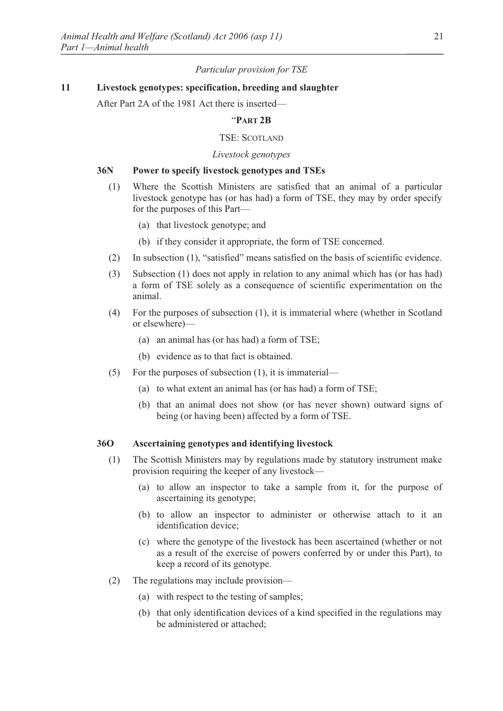# *Particular provision for TSE*

# **11 Livestock genotypes: specification, breeding and slaughter**

After Part 2A of the 1981 Act there is inserted—

# "**PART 2B**

# TSE: SCOTLAND

# *Livestock genotypes*

# **36N Power to specify livestock genotypes and TSEs**

- (1) Where the Scottish Ministers are satisfied that an animal of a particular livestock genotype has (or has had) a form of TSE, they may by order specify for the purposes of this Part—
	- (a) that livestock genotype; and
	- (b) if they consider it appropriate, the form of TSE concerned.
- (2) In subsection (1), "satisfied" means satisfied on the basis of scientific evidence.
- (3) Subsection (1) does not apply in relation to any animal which has (or has had) a form of TSE solely as a consequence of scientific experimentation on the animal.
- (4) For the purposes of subsection (1), it is immaterial where (whether in Scotland or elsewhere)—
	- (a) an animal has (or has had) a form of TSE;
	- (b) evidence as to that fact is obtained.
- (5) For the purposes of subsection (1), it is immaterial—
	- (a) to what extent an animal has (or has had) a form of TSE;
	- (b) that an animal does not show (or has never shown) outward signs of being (or having been) affected by a form of TSE.

#### **36O Ascertaining genotypes and identifying livestock**

- (1) The Scottish Ministers may by regulations made by statutory instrument make provision requiring the keeper of any livestock—
	- (a) to allow an inspector to take a sample from it, for the purpose of ascertaining its genotype;
	- (b) to allow an inspector to administer or otherwise attach to it an identification device;
	- (c) where the genotype of the livestock has been ascertained (whether or not as a result of the exercise of powers conferred by or under this Part), to keep a record of its genotype.
- (2) The regulations may include provision—
	- (a) with respect to the testing of samples;
	- (b) that only identification devices of a kind specified in the regulations may be administered or attached;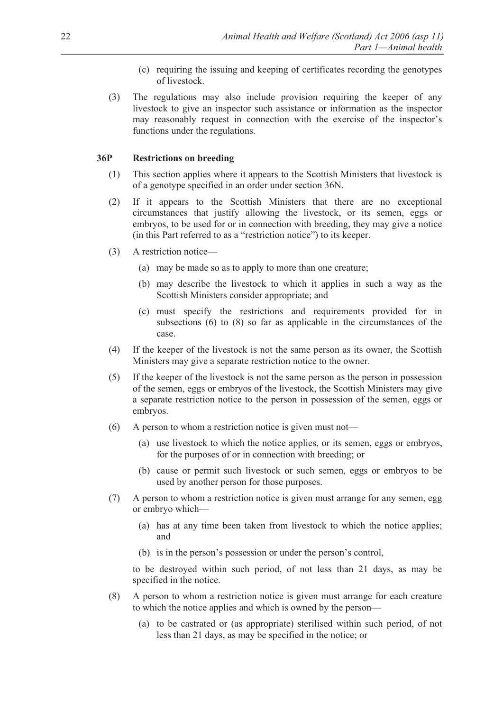- (c) requiring the issuing and keeping of certificates recording the genotypes of livestock.
- (3) The regulations may also include provision requiring the keeper of any livestock to give an inspector such assistance or information as the inspector may reasonably request in connection with the exercise of the inspector's functions under the regulations.

# **36P Restrictions on breeding**

- (1) This section applies where it appears to the Scottish Ministers that livestock is of a genotype specified in an order under section 36N.
- (2) If it appears to the Scottish Ministers that there are no exceptional circumstances that justify allowing the livestock, or its semen, eggs or embryos, to be used for or in connection with breeding, they may give a notice (in this Part referred to as a "restriction notice") to its keeper.
- (3) A restriction notice—
	- (a) may be made so as to apply to more than one creature;
	- (b) may describe the livestock to which it applies in such a way as the Scottish Ministers consider appropriate; and
	- (c) must specify the restrictions and requirements provided for in subsections (6) to (8) so far as applicable in the circumstances of the case.
- (4) If the keeper of the livestock is not the same person as its owner, the Scottish Ministers may give a separate restriction notice to the owner.
- (5) If the keeper of the livestock is not the same person as the person in possession of the semen, eggs or embryos of the livestock, the Scottish Ministers may give a separate restriction notice to the person in possession of the semen, eggs or embryos.
- (6) A person to whom a restriction notice is given must not—
	- (a) use livestock to which the notice applies, or its semen, eggs or embryos, for the purposes of or in connection with breeding; or
	- (b) cause or permit such livestock or such semen, eggs or embryos to be used by another person for those purposes.
- (7) A person to whom a restriction notice is given must arrange for any semen, egg or embryo which—
	- (a) has at any time been taken from livestock to which the notice applies; and
	- (b) is in the person's possession or under the person's control,

 to be destroyed within such period, of not less than 21 days, as may be specified in the notice.

- (8) A person to whom a restriction notice is given must arrange for each creature to which the notice applies and which is owned by the person—
	- (a) to be castrated or (as appropriate) sterilised within such period, of not less than 21 days, as may be specified in the notice; or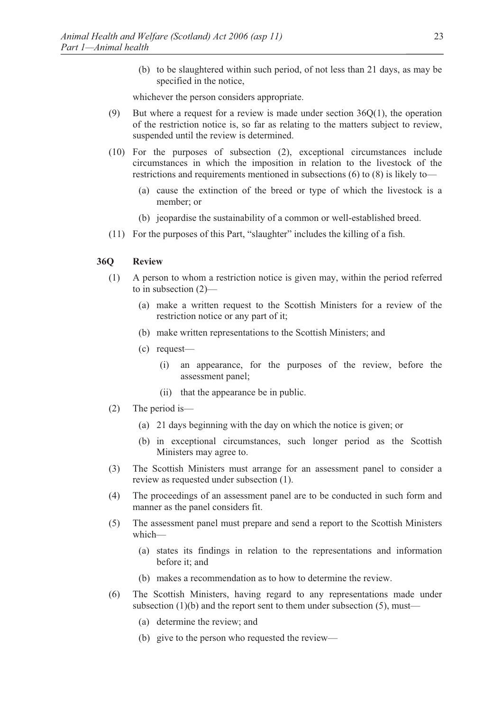(b) to be slaughtered within such period, of not less than 21 days, as may be specified in the notice,

whichever the person considers appropriate.

- (9) But where a request for a review is made under section  $36Q(1)$ , the operation of the restriction notice is, so far as relating to the matters subject to review, suspended until the review is determined.
- (10) For the purposes of subsection (2), exceptional circumstances include circumstances in which the imposition in relation to the livestock of the restrictions and requirements mentioned in subsections (6) to (8) is likely to—
	- (a) cause the extinction of the breed or type of which the livestock is a member; or
	- (b) jeopardise the sustainability of a common or well-established breed.
- (11) For the purposes of this Part, "slaughter" includes the killing of a fish.

#### **36Q Review**

- (1) A person to whom a restriction notice is given may, within the period referred to in subsection (2)—
	- (a) make a written request to the Scottish Ministers for a review of the restriction notice or any part of it;
	- (b) make written representations to the Scottish Ministers; and
	- (c) request—
		- (i) an appearance, for the purposes of the review, before the assessment panel;
		- (ii) that the appearance be in public.
- (2) The period is—
	- (a) 21 days beginning with the day on which the notice is given; or
	- (b) in exceptional circumstances, such longer period as the Scottish Ministers may agree to.
- (3) The Scottish Ministers must arrange for an assessment panel to consider a review as requested under subsection (1).
- (4) The proceedings of an assessment panel are to be conducted in such form and manner as the panel considers fit.
- (5) The assessment panel must prepare and send a report to the Scottish Ministers which—
	- (a) states its findings in relation to the representations and information before it; and
	- (b) makes a recommendation as to how to determine the review.
- (6) The Scottish Ministers, having regard to any representations made under subsection  $(1)(b)$  and the report sent to them under subsection  $(5)$ , must—
	- (a) determine the review; and
	- (b) give to the person who requested the review—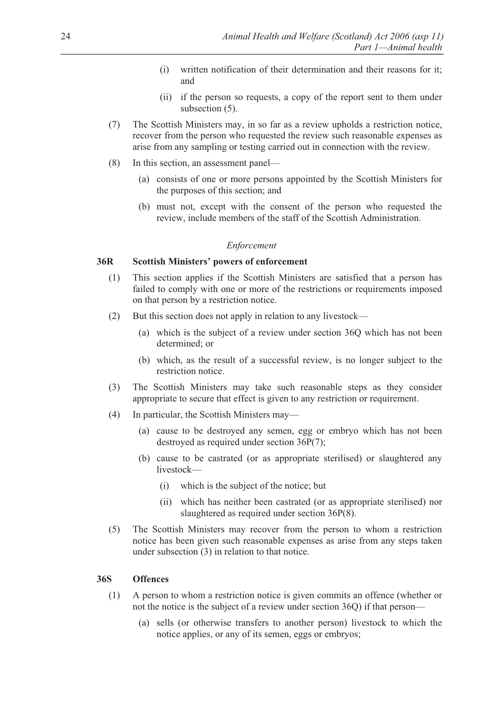- (i) written notification of their determination and their reasons for it; and
- (ii) if the person so requests, a copy of the report sent to them under subsection  $(5)$ .
- (7) The Scottish Ministers may, in so far as a review upholds a restriction notice, recover from the person who requested the review such reasonable expenses as arise from any sampling or testing carried out in connection with the review.
- (8) In this section, an assessment panel—
	- (a) consists of one or more persons appointed by the Scottish Ministers for the purposes of this section; and
	- (b) must not, except with the consent of the person who requested the review, include members of the staff of the Scottish Administration.

### *Enforcement*

# **36R Scottish Ministers' powers of enforcement**

- (1) This section applies if the Scottish Ministers are satisfied that a person has failed to comply with one or more of the restrictions or requirements imposed on that person by a restriction notice.
- (2) But this section does not apply in relation to any livestock—
	- (a) which is the subject of a review under section 36Q which has not been determined; or
	- (b) which, as the result of a successful review, is no longer subject to the restriction notice.
- (3) The Scottish Ministers may take such reasonable steps as they consider appropriate to secure that effect is given to any restriction or requirement.
- (4) In particular, the Scottish Ministers may—
	- (a) cause to be destroyed any semen, egg or embryo which has not been destroyed as required under section 36P(7);
	- (b) cause to be castrated (or as appropriate sterilised) or slaughtered any livestock—
		- (i) which is the subject of the notice; but
		- (ii) which has neither been castrated (or as appropriate sterilised) nor slaughtered as required under section 36P(8).
- (5) The Scottish Ministers may recover from the person to whom a restriction notice has been given such reasonable expenses as arise from any steps taken under subsection (3) in relation to that notice.

#### **36S Offences**

- (1) A person to whom a restriction notice is given commits an offence (whether or not the notice is the subject of a review under section 36Q) if that person—
	- (a) sells (or otherwise transfers to another person) livestock to which the notice applies, or any of its semen, eggs or embryos;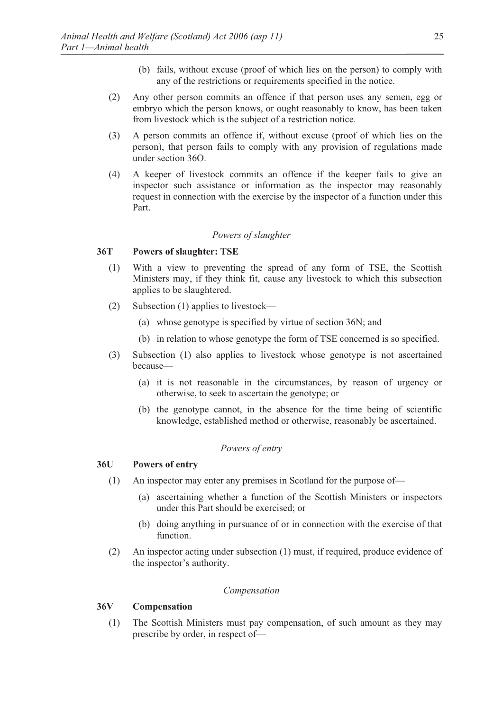- (b) fails, without excuse (proof of which lies on the person) to comply with any of the restrictions or requirements specified in the notice.
- (2) Any other person commits an offence if that person uses any semen, egg or embryo which the person knows, or ought reasonably to know, has been taken from livestock which is the subject of a restriction notice.
- (3) A person commits an offence if, without excuse (proof of which lies on the person), that person fails to comply with any provision of regulations made under section 36O.
- (4) A keeper of livestock commits an offence if the keeper fails to give an inspector such assistance or information as the inspector may reasonably request in connection with the exercise by the inspector of a function under this Part.

#### *Powers of slaughter*

#### **36T Powers of slaughter: TSE**

- (1) With a view to preventing the spread of any form of TSE, the Scottish Ministers may, if they think fit, cause any livestock to which this subsection applies to be slaughtered.
- (2) Subsection (1) applies to livestock—
	- (a) whose genotype is specified by virtue of section 36N; and
	- (b) in relation to whose genotype the form of TSE concerned is so specified.
- (3) Subsection (1) also applies to livestock whose genotype is not ascertained because—
	- (a) it is not reasonable in the circumstances, by reason of urgency or otherwise, to seek to ascertain the genotype; or
	- (b) the genotype cannot, in the absence for the time being of scientific knowledge, established method or otherwise, reasonably be ascertained.

# *Powers of entry*

#### **36U Powers of entry**

- (1) An inspector may enter any premises in Scotland for the purpose of—
	- (a) ascertaining whether a function of the Scottish Ministers or inspectors under this Part should be exercised; or
	- (b) doing anything in pursuance of or in connection with the exercise of that function.
- (2) An inspector acting under subsection (1) must, if required, produce evidence of the inspector's authority.

#### *Compensation*

# **36V Compensation**

(1) The Scottish Ministers must pay compensation, of such amount as they may prescribe by order, in respect of—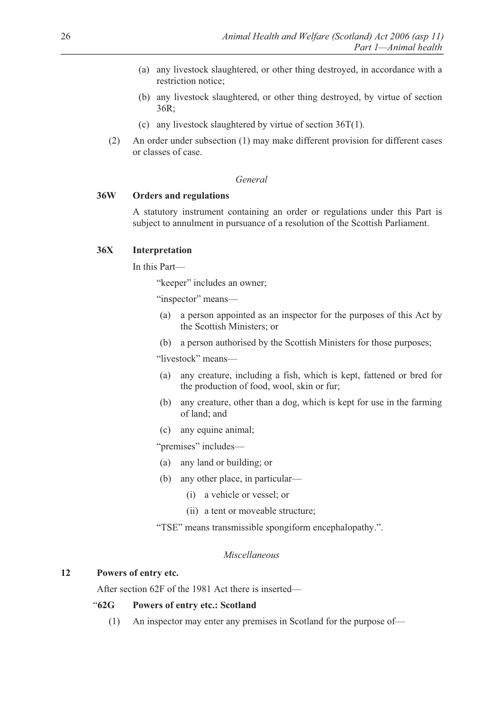- (a) any livestock slaughtered, or other thing destroyed, in accordance with a restriction notice;
- (b) any livestock slaughtered, or other thing destroyed, by virtue of section 36R;
- (c) any livestock slaughtered by virtue of section 36T(1).
- (2) An order under subsection (1) may make different provision for different cases or classes of case.

#### *General*

# **36W Orders and regulations**

A statutory instrument containing an order or regulations under this Part is subject to annulment in pursuance of a resolution of the Scottish Parliament.

# **36X Interpretation**

In this Part—

"keeper" includes an owner;

"inspector" means—

- (a) a person appointed as an inspector for the purposes of this Act by the Scottish Ministers; or
- (b) a person authorised by the Scottish Ministers for those purposes;

"livestock" means—

- (a) any creature, including a fish, which is kept, fattened or bred for the production of food, wool, skin or fur;
- (b) any creature, other than a dog, which is kept for use in the farming of land; and
- (c) any equine animal;

"premises" includes—

- (a) any land or building; or
- (b) any other place, in particular—
	- (i) a vehicle or vessel; or
	- (ii) a tent or moveable structure;

"TSE" means transmissible spongiform encephalopathy.".

#### *Miscellaneous*

#### **12 Powers of entry etc.**

After section 62F of the 1981 Act there is inserted—

# "**62G Powers of entry etc.: Scotland**

(1) An inspector may enter any premises in Scotland for the purpose of—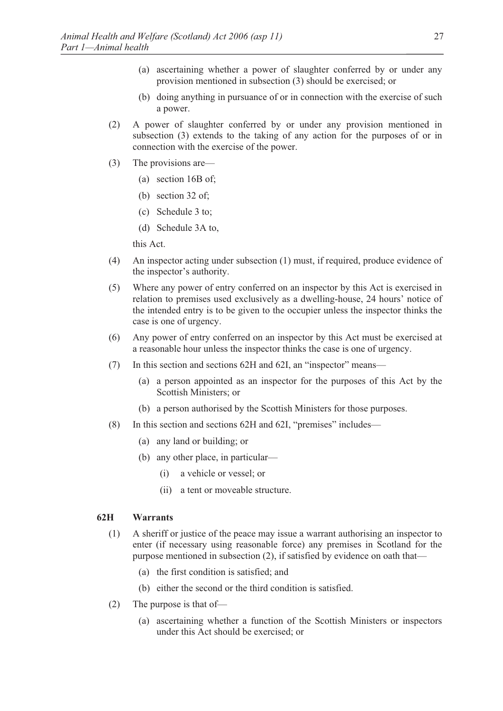- (a) ascertaining whether a power of slaughter conferred by or under any provision mentioned in subsection (3) should be exercised; or
- (b) doing anything in pursuance of or in connection with the exercise of such a power.
- (2) A power of slaughter conferred by or under any provision mentioned in subsection (3) extends to the taking of any action for the purposes of or in connection with the exercise of the power.
- (3) The provisions are—
	- (a) section 16B of;
	- (b) section 32 of;
	- (c) Schedule 3 to;
	- (d) Schedule 3A to,

this Act.

- (4) An inspector acting under subsection (1) must, if required, produce evidence of the inspector's authority.
- (5) Where any power of entry conferred on an inspector by this Act is exercised in relation to premises used exclusively as a dwelling-house, 24 hours' notice of the intended entry is to be given to the occupier unless the inspector thinks the case is one of urgency.
- (6) Any power of entry conferred on an inspector by this Act must be exercised at a reasonable hour unless the inspector thinks the case is one of urgency.
- (7) In this section and sections 62H and 62I, an "inspector" means—
	- (a) a person appointed as an inspector for the purposes of this Act by the Scottish Ministers; or
	- (b) a person authorised by the Scottish Ministers for those purposes.
- (8) In this section and sections 62H and 62I, "premises" includes—
	- (a) any land or building; or
	- (b) any other place, in particular—
		- (i) a vehicle or vessel; or
		- (ii) a tent or moveable structure.

#### **62H Warrants**

- (1) A sheriff or justice of the peace may issue a warrant authorising an inspector to enter (if necessary using reasonable force) any premises in Scotland for the purpose mentioned in subsection (2), if satisfied by evidence on oath that—
	- (a) the first condition is satisfied; and
	- (b) either the second or the third condition is satisfied.
- (2) The purpose is that of—
	- (a) ascertaining whether a function of the Scottish Ministers or inspectors under this Act should be exercised; or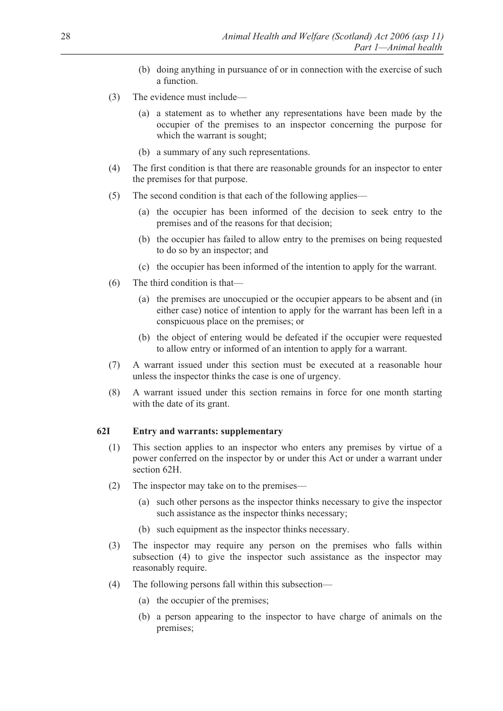- (b) doing anything in pursuance of or in connection with the exercise of such a function.
- (3) The evidence must include—
	- (a) a statement as to whether any representations have been made by the occupier of the premises to an inspector concerning the purpose for which the warrant is sought;
	- (b) a summary of any such representations.
- (4) The first condition is that there are reasonable grounds for an inspector to enter the premises for that purpose.
- (5) The second condition is that each of the following applies—
	- (a) the occupier has been informed of the decision to seek entry to the premises and of the reasons for that decision;
	- (b) the occupier has failed to allow entry to the premises on being requested to do so by an inspector; and
	- (c) the occupier has been informed of the intention to apply for the warrant.
- (6) The third condition is that—
	- (a) the premises are unoccupied or the occupier appears to be absent and (in either case) notice of intention to apply for the warrant has been left in a conspicuous place on the premises; or
	- (b) the object of entering would be defeated if the occupier were requested to allow entry or informed of an intention to apply for a warrant.
- (7) A warrant issued under this section must be executed at a reasonable hour unless the inspector thinks the case is one of urgency.
- (8) A warrant issued under this section remains in force for one month starting with the date of its grant.

#### **62I Entry and warrants: supplementary**

- (1) This section applies to an inspector who enters any premises by virtue of a power conferred on the inspector by or under this Act or under a warrant under section 62H.
- (2) The inspector may take on to the premises—
	- (a) such other persons as the inspector thinks necessary to give the inspector such assistance as the inspector thinks necessary;
	- (b) such equipment as the inspector thinks necessary.
- (3) The inspector may require any person on the premises who falls within subsection (4) to give the inspector such assistance as the inspector may reasonably require.
- (4) The following persons fall within this subsection—
	- (a) the occupier of the premises;
	- (b) a person appearing to the inspector to have charge of animals on the premises;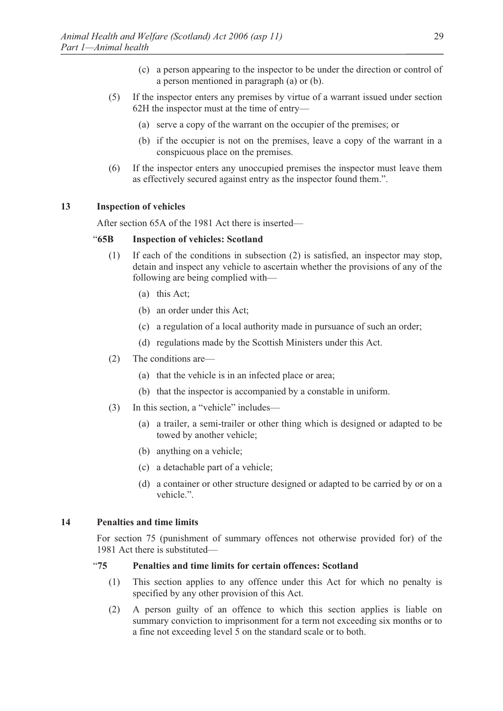- (c) a person appearing to the inspector to be under the direction or control of a person mentioned in paragraph (a) or (b).
- (5) If the inspector enters any premises by virtue of a warrant issued under section 62H the inspector must at the time of entry—
	- (a) serve a copy of the warrant on the occupier of the premises; or
	- (b) if the occupier is not on the premises, leave a copy of the warrant in a conspicuous place on the premises.
- (6) If the inspector enters any unoccupied premises the inspector must leave them as effectively secured against entry as the inspector found them.".

### **13 Inspection of vehicles**

After section 65A of the 1981 Act there is inserted—

# "**65B Inspection of vehicles: Scotland**

- (1) If each of the conditions in subsection (2) is satisfied, an inspector may stop, detain and inspect any vehicle to ascertain whether the provisions of any of the following are being complied with—
	- (a) this Act;
	- (b) an order under this Act;
	- (c) a regulation of a local authority made in pursuance of such an order;
	- (d) regulations made by the Scottish Ministers under this Act.
- (2) The conditions are—
	- (a) that the vehicle is in an infected place or area;
	- (b) that the inspector is accompanied by a constable in uniform.
- (3) In this section, a "vehicle" includes—
	- (a) a trailer, a semi-trailer or other thing which is designed or adapted to be towed by another vehicle;
	- (b) anything on a vehicle;
	- (c) a detachable part of a vehicle;
	- (d) a container or other structure designed or adapted to be carried by or on a vehicle.".

# **14 Penalties and time limits**

For section 75 (punishment of summary offences not otherwise provided for) of the 1981 Act there is substituted—

# "**75 Penalties and time limits for certain offences: Scotland**

- (1) This section applies to any offence under this Act for which no penalty is specified by any other provision of this Act.
- (2) A person guilty of an offence to which this section applies is liable on summary conviction to imprisonment for a term not exceeding six months or to a fine not exceeding level 5 on the standard scale or to both.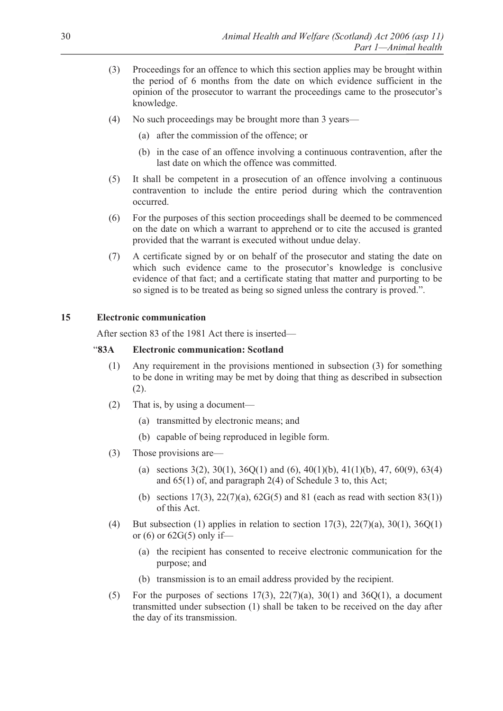- (3) Proceedings for an offence to which this section applies may be brought within the period of 6 months from the date on which evidence sufficient in the opinion of the prosecutor to warrant the proceedings came to the prosecutor's knowledge.
- (4) No such proceedings may be brought more than 3 years—
	- (a) after the commission of the offence; or
	- (b) in the case of an offence involving a continuous contravention, after the last date on which the offence was committed.
- (5) It shall be competent in a prosecution of an offence involving a continuous contravention to include the entire period during which the contravention occurred.
- (6) For the purposes of this section proceedings shall be deemed to be commenced on the date on which a warrant to apprehend or to cite the accused is granted provided that the warrant is executed without undue delay.
- (7) A certificate signed by or on behalf of the prosecutor and stating the date on which such evidence came to the prosecutor's knowledge is conclusive evidence of that fact; and a certificate stating that matter and purporting to be so signed is to be treated as being so signed unless the contrary is proved.".

### **15 Electronic communication**

After section 83 of the 1981 Act there is inserted—

# "**83A Electronic communication: Scotland**

- (1) Any requirement in the provisions mentioned in subsection (3) for something to be done in writing may be met by doing that thing as described in subsection (2).
- (2) That is, by using a document—
	- (a) transmitted by electronic means; and
	- (b) capable of being reproduced in legible form.
- (3) Those provisions are—
	- (a) sections  $3(2)$ ,  $30(1)$ ,  $36Q(1)$  and  $(6)$ ,  $40(1)(b)$ ,  $41(1)(b)$ ,  $47$ ,  $60(9)$ ,  $63(4)$ and 65(1) of, and paragraph 2(4) of Schedule 3 to, this Act;
	- (b) sections  $17(3)$ ,  $22(7)(a)$ ,  $62G(5)$  and 81 (each as read with section 83(1)) of this Act.
- (4) But subsection (1) applies in relation to section  $17(3)$ ,  $22(7)(a)$ ,  $30(1)$ ,  $36Q(1)$ or  $(6)$  or  $62G(5)$  only if—
	- (a) the recipient has consented to receive electronic communication for the purpose; and
	- (b) transmission is to an email address provided by the recipient.
- (5) For the purposes of sections 17(3), 22(7)(a), 30(1) and 36Q(1), a document transmitted under subsection (1) shall be taken to be received on the day after the day of its transmission.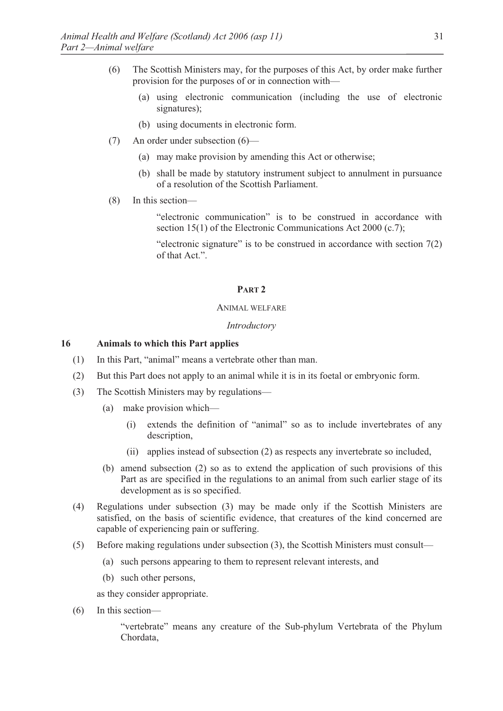- (6) The Scottish Ministers may, for the purposes of this Act, by order make further provision for the purposes of or in connection with—
	- (a) using electronic communication (including the use of electronic signatures);
	- (b) using documents in electronic form.
- (7) An order under subsection (6)—
	- (a) may make provision by amending this Act or otherwise;
	- (b) shall be made by statutory instrument subject to annulment in pursuance of a resolution of the Scottish Parliament.
- (8) In this section—

 "electronic communication" is to be construed in accordance with section 15(1) of the Electronic Communications Act 2000 (c.7);

"electronic signature" is to be construed in accordance with section  $7(2)$ of that Act.".

#### **PART 2**

#### ANIMAL WELFARE

#### *Introductory*

#### **16 Animals to which this Part applies**

- (1) In this Part, "animal" means a vertebrate other than man.
- (2) But this Part does not apply to an animal while it is in its foetal or embryonic form.
- (3) The Scottish Ministers may by regulations—
	- (a) make provision which—
		- (i) extends the definition of "animal" so as to include invertebrates of any description,
		- (ii) applies instead of subsection (2) as respects any invertebrate so included,
	- (b) amend subsection (2) so as to extend the application of such provisions of this Part as are specified in the regulations to an animal from such earlier stage of its development as is so specified.
- (4) Regulations under subsection (3) may be made only if the Scottish Ministers are satisfied, on the basis of scientific evidence, that creatures of the kind concerned are capable of experiencing pain or suffering.
- (5) Before making regulations under subsection (3), the Scottish Ministers must consult—
	- (a) such persons appearing to them to represent relevant interests, and
	- (b) such other persons,

as they consider appropriate.

(6) In this section—

"vertebrate" means any creature of the Sub-phylum Vertebrata of the Phylum Chordata,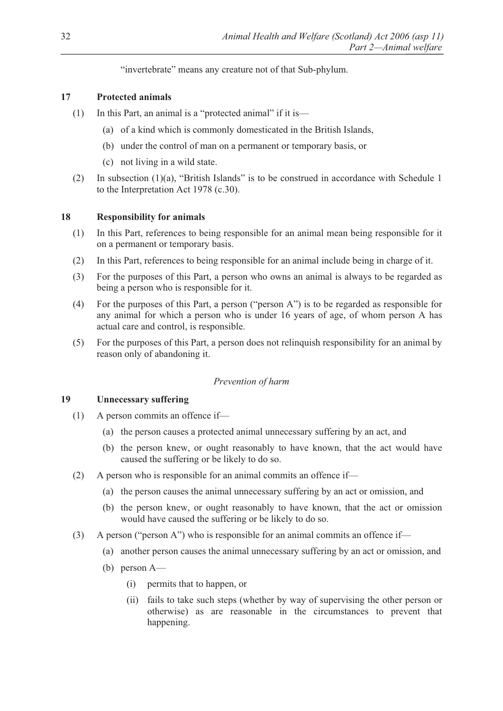"invertebrate" means any creature not of that Sub-phylum.

# **17 Protected animals**

- (1) In this Part, an animal is a "protected animal" if it is—
	- (a) of a kind which is commonly domesticated in the British Islands,
	- (b) under the control of man on a permanent or temporary basis, or
	- (c) not living in a wild state.
- (2) In subsection (1)(a), "British Islands" is to be construed in accordance with Schedule 1 to the Interpretation Act 1978 (c.30).

# **18 Responsibility for animals**

- (1) In this Part, references to being responsible for an animal mean being responsible for it on a permanent or temporary basis.
- (2) In this Part, references to being responsible for an animal include being in charge of it.
- (3) For the purposes of this Part, a person who owns an animal is always to be regarded as being a person who is responsible for it.
- (4) For the purposes of this Part, a person ("person A") is to be regarded as responsible for any animal for which a person who is under 16 years of age, of whom person A has actual care and control, is responsible.
- (5) For the purposes of this Part, a person does not relinquish responsibility for an animal by reason only of abandoning it.

### *Prevention of harm*

### **19 Unnecessary suffering**

- (1) A person commits an offence if—
	- (a) the person causes a protected animal unnecessary suffering by an act, and
	- (b) the person knew, or ought reasonably to have known, that the act would have caused the suffering or be likely to do so.
- (2) A person who is responsible for an animal commits an offence if—
	- (a) the person causes the animal unnecessary suffering by an act or omission, and
	- (b) the person knew, or ought reasonably to have known, that the act or omission would have caused the suffering or be likely to do so.
- (3) A person ("person A") who is responsible for an animal commits an offence if—
	- (a) another person causes the animal unnecessary suffering by an act or omission, and
	- (b) person A—
		- (i) permits that to happen, or
		- (ii) fails to take such steps (whether by way of supervising the other person or otherwise) as are reasonable in the circumstances to prevent that happening.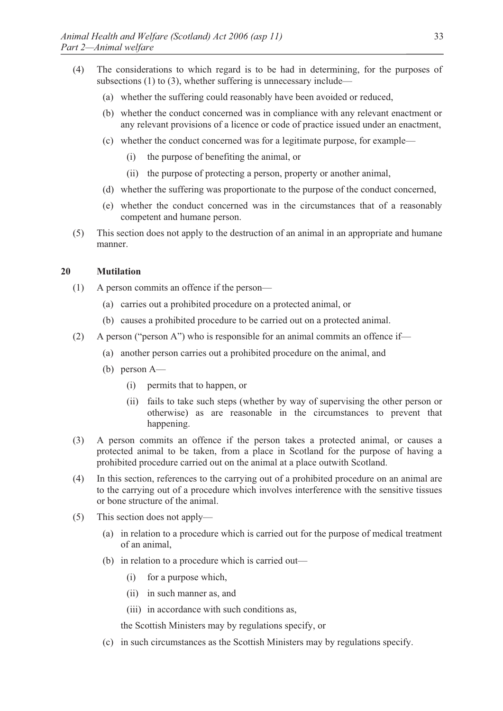- (4) The considerations to which regard is to be had in determining, for the purposes of subsections (1) to (3), whether suffering is unnecessary include—
	- (a) whether the suffering could reasonably have been avoided or reduced,
	- (b) whether the conduct concerned was in compliance with any relevant enactment or any relevant provisions of a licence or code of practice issued under an enactment,
	- (c) whether the conduct concerned was for a legitimate purpose, for example—
		- (i) the purpose of benefiting the animal, or
		- (ii) the purpose of protecting a person, property or another animal,
	- (d) whether the suffering was proportionate to the purpose of the conduct concerned,
	- (e) whether the conduct concerned was in the circumstances that of a reasonably competent and humane person.
- (5) This section does not apply to the destruction of an animal in an appropriate and humane manner.

# **20 Mutilation**

- (1) A person commits an offence if the person—
	- (a) carries out a prohibited procedure on a protected animal, or
	- (b) causes a prohibited procedure to be carried out on a protected animal.
- (2) A person ("person A") who is responsible for an animal commits an offence if—
	- (a) another person carries out a prohibited procedure on the animal, and
	- (b) person A—
		- (i) permits that to happen, or
		- (ii) fails to take such steps (whether by way of supervising the other person or otherwise) as are reasonable in the circumstances to prevent that happening.
- (3) A person commits an offence if the person takes a protected animal, or causes a protected animal to be taken, from a place in Scotland for the purpose of having a prohibited procedure carried out on the animal at a place outwith Scotland.
- (4) In this section, references to the carrying out of a prohibited procedure on an animal are to the carrying out of a procedure which involves interference with the sensitive tissues or bone structure of the animal.
- (5) This section does not apply—
	- (a) in relation to a procedure which is carried out for the purpose of medical treatment of an animal,
	- (b) in relation to a procedure which is carried out—
		- (i) for a purpose which,
		- (ii) in such manner as, and
		- (iii) in accordance with such conditions as,

the Scottish Ministers may by regulations specify, or

(c) in such circumstances as the Scottish Ministers may by regulations specify.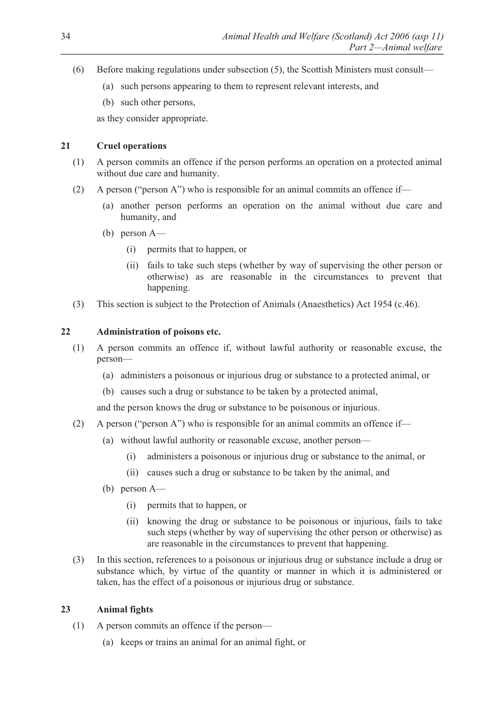- (6) Before making regulations under subsection (5), the Scottish Ministers must consult—
	- (a) such persons appearing to them to represent relevant interests, and
	- (b) such other persons,

as they consider appropriate.

# **21 Cruel operations**

- (1) A person commits an offence if the person performs an operation on a protected animal without due care and humanity.
- (2) A person ("person A") who is responsible for an animal commits an offence if—
	- (a) another person performs an operation on the animal without due care and humanity, and
	- (b) person A—
		- (i) permits that to happen, or
		- (ii) fails to take such steps (whether by way of supervising the other person or otherwise) as are reasonable in the circumstances to prevent that happening.
- (3) This section is subject to the Protection of Animals (Anaesthetics) Act 1954 (c.46).

# **22 Administration of poisons etc.**

- (1) A person commits an offence if, without lawful authority or reasonable excuse, the person—
	- (a) administers a poisonous or injurious drug or substance to a protected animal, or
	- (b) causes such a drug or substance to be taken by a protected animal,

and the person knows the drug or substance to be poisonous or injurious.

- (2) A person ("person A") who is responsible for an animal commits an offence if—
	- (a) without lawful authority or reasonable excuse, another person—
		- (i) administers a poisonous or injurious drug or substance to the animal, or
		- (ii) causes such a drug or substance to be taken by the animal, and
	- (b) person A—
		- (i) permits that to happen, or
		- (ii) knowing the drug or substance to be poisonous or injurious, fails to take such steps (whether by way of supervising the other person or otherwise) as are reasonable in the circumstances to prevent that happening.
- (3) In this section, references to a poisonous or injurious drug or substance include a drug or substance which, by virtue of the quantity or manner in which it is administered or taken, has the effect of a poisonous or injurious drug or substance.

# **23 Animal fights**

- (1) A person commits an offence if the person—
	- (a) keeps or trains an animal for an animal fight, or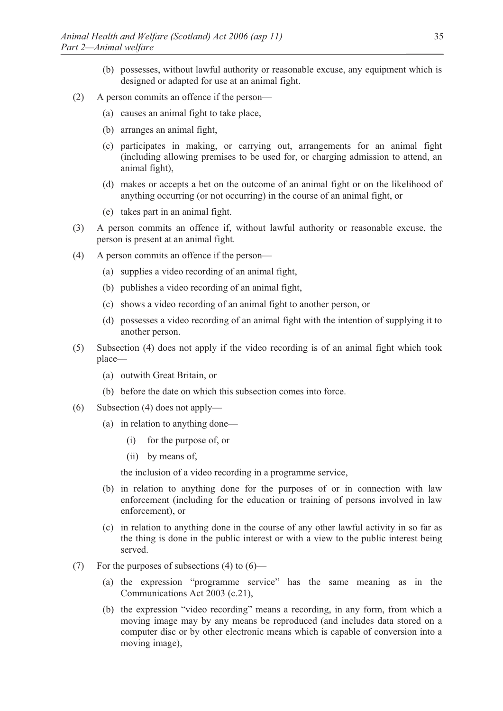- (b) possesses, without lawful authority or reasonable excuse, any equipment which is designed or adapted for use at an animal fight.
- (2) A person commits an offence if the person—
	- (a) causes an animal fight to take place,
	- (b) arranges an animal fight,
	- (c) participates in making, or carrying out, arrangements for an animal fight (including allowing premises to be used for, or charging admission to attend, an animal fight),
	- (d) makes or accepts a bet on the outcome of an animal fight or on the likelihood of anything occurring (or not occurring) in the course of an animal fight, or
	- (e) takes part in an animal fight.
- (3) A person commits an offence if, without lawful authority or reasonable excuse, the person is present at an animal fight.
- (4) A person commits an offence if the person—
	- (a) supplies a video recording of an animal fight,
	- (b) publishes a video recording of an animal fight,
	- (c) shows a video recording of an animal fight to another person, or
	- (d) possesses a video recording of an animal fight with the intention of supplying it to another person.
- (5) Subsection (4) does not apply if the video recording is of an animal fight which took place—
	- (a) outwith Great Britain, or
	- (b) before the date on which this subsection comes into force.
- (6) Subsection (4) does not apply—
	- (a) in relation to anything done—
		- (i) for the purpose of, or
		- (ii) by means of,

the inclusion of a video recording in a programme service,

- (b) in relation to anything done for the purposes of or in connection with law enforcement (including for the education or training of persons involved in law enforcement), or
- (c) in relation to anything done in the course of any other lawful activity in so far as the thing is done in the public interest or with a view to the public interest being served.
- (7) For the purposes of subsections (4) to  $(6)$ 
	- (a) the expression "programme service" has the same meaning as in the Communications Act 2003 (c.21),
	- (b) the expression "video recording" means a recording, in any form, from which a moving image may by any means be reproduced (and includes data stored on a computer disc or by other electronic means which is capable of conversion into a moving image),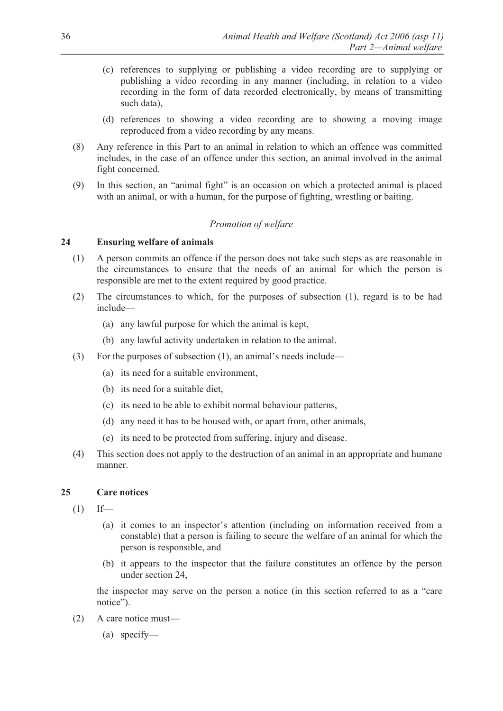- (c) references to supplying or publishing a video recording are to supplying or publishing a video recording in any manner (including, in relation to a video recording in the form of data recorded electronically, by means of transmitting such data),
- (d) references to showing a video recording are to showing a moving image reproduced from a video recording by any means.
- (8) Any reference in this Part to an animal in relation to which an offence was committed includes, in the case of an offence under this section, an animal involved in the animal fight concerned.
- (9) In this section, an "animal fight" is an occasion on which a protected animal is placed with an animal, or with a human, for the purpose of fighting, wrestling or baiting.

# *Promotion of welfare*

### **24 Ensuring welfare of animals**

- (1) A person commits an offence if the person does not take such steps as are reasonable in the circumstances to ensure that the needs of an animal for which the person is responsible are met to the extent required by good practice.
- (2) The circumstances to which, for the purposes of subsection (1), regard is to be had include—
	- (a) any lawful purpose for which the animal is kept,
	- (b) any lawful activity undertaken in relation to the animal.
- (3) For the purposes of subsection (1), an animal's needs include—
	- (a) its need for a suitable environment,
	- (b) its need for a suitable diet,
	- (c) its need to be able to exhibit normal behaviour patterns,
	- (d) any need it has to be housed with, or apart from, other animals,
	- (e) its need to be protected from suffering, injury and disease.
- (4) This section does not apply to the destruction of an animal in an appropriate and humane manner.

### **25 Care notices**

- $(1)$  If—
	- (a) it comes to an inspector's attention (including on information received from a constable) that a person is failing to secure the welfare of an animal for which the person is responsible, and
	- (b) it appears to the inspector that the failure constitutes an offence by the person under section 24,

the inspector may serve on the person a notice (in this section referred to as a "care notice").

- (2) A care notice must—
	- (a) specify—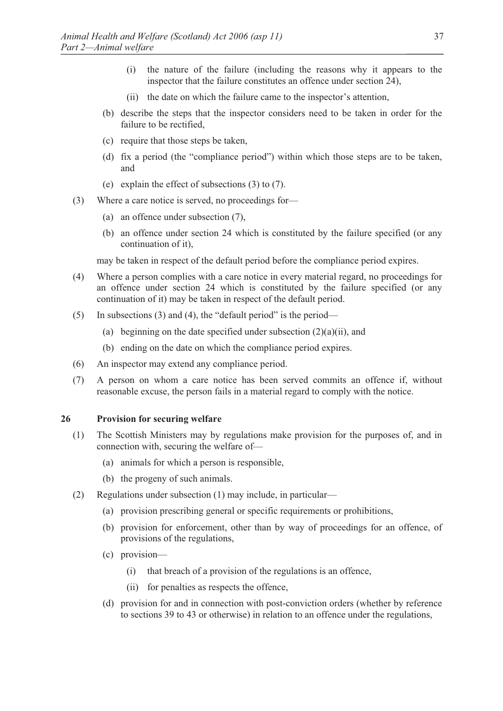- (i) the nature of the failure (including the reasons why it appears to the inspector that the failure constitutes an offence under section 24),
- (ii) the date on which the failure came to the inspector's attention,
- (b) describe the steps that the inspector considers need to be taken in order for the failure to be rectified,
- (c) require that those steps be taken,
- (d) fix a period (the "compliance period") within which those steps are to be taken, and
- (e) explain the effect of subsections (3) to (7).
- (3) Where a care notice is served, no proceedings for—
	- (a) an offence under subsection (7),
	- (b) an offence under section 24 which is constituted by the failure specified (or any continuation of it),

may be taken in respect of the default period before the compliance period expires.

- (4) Where a person complies with a care notice in every material regard, no proceedings for an offence under section 24 which is constituted by the failure specified (or any continuation of it) may be taken in respect of the default period.
- (5) In subsections (3) and (4), the "default period" is the period—
	- (a) beginning on the date specified under subsection  $(2)(a)(ii)$ , and
	- (b) ending on the date on which the compliance period expires.
- (6) An inspector may extend any compliance period.
- (7) A person on whom a care notice has been served commits an offence if, without reasonable excuse, the person fails in a material regard to comply with the notice.

#### **26 Provision for securing welfare**

- (1) The Scottish Ministers may by regulations make provision for the purposes of, and in connection with, securing the welfare of—
	- (a) animals for which a person is responsible,
	- (b) the progeny of such animals.
- (2) Regulations under subsection (1) may include, in particular—
	- (a) provision prescribing general or specific requirements or prohibitions,
	- (b) provision for enforcement, other than by way of proceedings for an offence, of provisions of the regulations,
	- (c) provision—
		- (i) that breach of a provision of the regulations is an offence,
		- (ii) for penalties as respects the offence,
	- (d) provision for and in connection with post-conviction orders (whether by reference to sections 39 to 43 or otherwise) in relation to an offence under the regulations,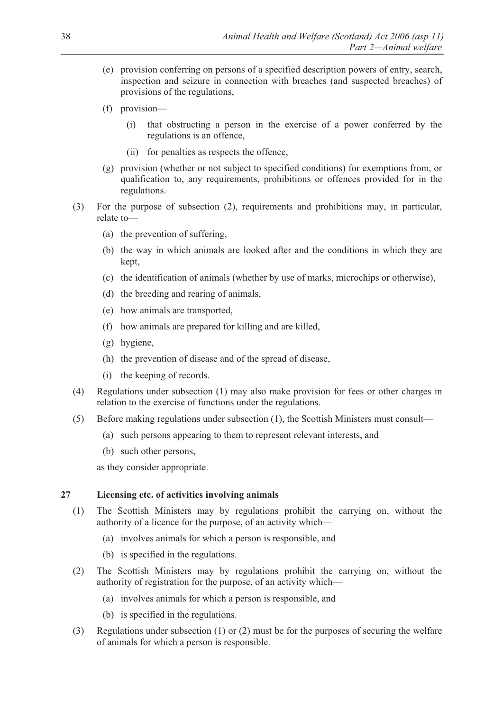- (e) provision conferring on persons of a specified description powers of entry, search, inspection and seizure in connection with breaches (and suspected breaches) of provisions of the regulations,
- (f) provision—
	- (i) that obstructing a person in the exercise of a power conferred by the regulations is an offence,
	- (ii) for penalties as respects the offence,
- (g) provision (whether or not subject to specified conditions) for exemptions from, or qualification to, any requirements, prohibitions or offences provided for in the regulations.
- (3) For the purpose of subsection (2), requirements and prohibitions may, in particular, relate to—
	- (a) the prevention of suffering,
	- (b) the way in which animals are looked after and the conditions in which they are kept,
	- (c) the identification of animals (whether by use of marks, microchips or otherwise),
	- (d) the breeding and rearing of animals,
	- (e) how animals are transported,
	- (f) how animals are prepared for killing and are killed,
	- (g) hygiene,
	- (h) the prevention of disease and of the spread of disease,
	- (i) the keeping of records.
- (4) Regulations under subsection (1) may also make provision for fees or other charges in relation to the exercise of functions under the regulations.
- (5) Before making regulations under subsection (1), the Scottish Ministers must consult—
	- (a) such persons appearing to them to represent relevant interests, and
	- (b) such other persons,

as they consider appropriate.

# **27 Licensing etc. of activities involving animals**

- (1) The Scottish Ministers may by regulations prohibit the carrying on, without the authority of a licence for the purpose, of an activity which—
	- (a) involves animals for which a person is responsible, and
	- (b) is specified in the regulations.
- (2) The Scottish Ministers may by regulations prohibit the carrying on, without the authority of registration for the purpose, of an activity which—
	- (a) involves animals for which a person is responsible, and
	- (b) is specified in the regulations.
- (3) Regulations under subsection (1) or (2) must be for the purposes of securing the welfare of animals for which a person is responsible.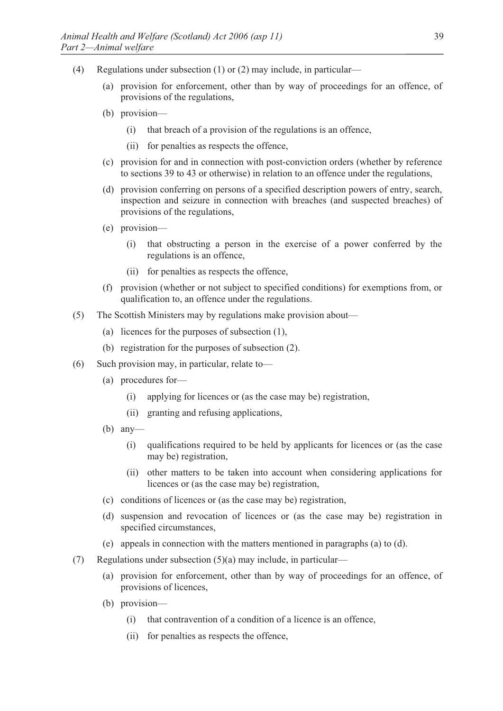- (4) Regulations under subsection (1) or (2) may include, in particular—
	- (a) provision for enforcement, other than by way of proceedings for an offence, of provisions of the regulations,
	- (b) provision—
		- (i) that breach of a provision of the regulations is an offence,
		- (ii) for penalties as respects the offence,
	- (c) provision for and in connection with post-conviction orders (whether by reference to sections 39 to 43 or otherwise) in relation to an offence under the regulations,
	- (d) provision conferring on persons of a specified description powers of entry, search, inspection and seizure in connection with breaches (and suspected breaches) of provisions of the regulations,
	- (e) provision—
		- (i) that obstructing a person in the exercise of a power conferred by the regulations is an offence,
		- (ii) for penalties as respects the offence,
	- (f) provision (whether or not subject to specified conditions) for exemptions from, or qualification to, an offence under the regulations.
- (5) The Scottish Ministers may by regulations make provision about—
	- (a) licences for the purposes of subsection (1),
	- (b) registration for the purposes of subsection (2).
- (6) Such provision may, in particular, relate to—
	- (a) procedures for—
		- (i) applying for licences or (as the case may be) registration,
		- (ii) granting and refusing applications,
	- (b) any—
		- (i) qualifications required to be held by applicants for licences or (as the case may be) registration,
		- (ii) other matters to be taken into account when considering applications for licences or (as the case may be) registration,
	- (c) conditions of licences or (as the case may be) registration,
	- (d) suspension and revocation of licences or (as the case may be) registration in specified circumstances,
	- (e) appeals in connection with the matters mentioned in paragraphs (a) to (d).
- (7) Regulations under subsection (5)(a) may include, in particular—
	- (a) provision for enforcement, other than by way of proceedings for an offence, of provisions of licences,
	- (b) provision—
		- (i) that contravention of a condition of a licence is an offence,
		- (ii) for penalties as respects the offence,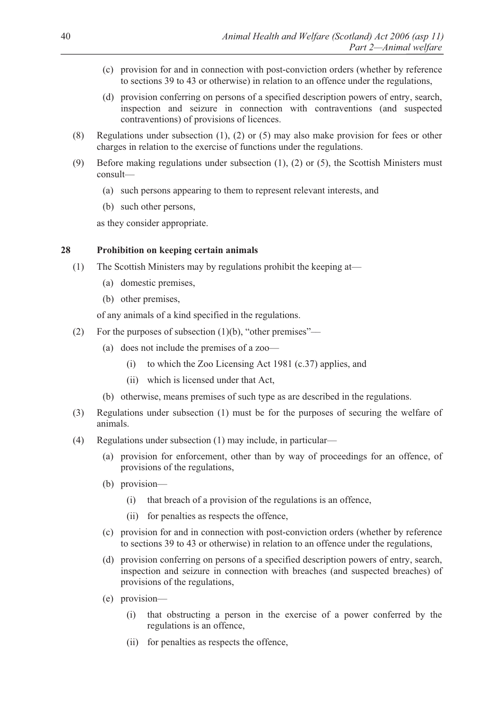- (c) provision for and in connection with post-conviction orders (whether by reference to sections 39 to 43 or otherwise) in relation to an offence under the regulations,
- (d) provision conferring on persons of a specified description powers of entry, search, inspection and seizure in connection with contraventions (and suspected contraventions) of provisions of licences.
- (8) Regulations under subsection (1), (2) or (5) may also make provision for fees or other charges in relation to the exercise of functions under the regulations.
- (9) Before making regulations under subsection (1), (2) or (5), the Scottish Ministers must consult—
	- (a) such persons appearing to them to represent relevant interests, and
	- (b) such other persons,

as they consider appropriate.

# **28 Prohibition on keeping certain animals**

- (1) The Scottish Ministers may by regulations prohibit the keeping at—
	- (a) domestic premises,
	- (b) other premises,

of any animals of a kind specified in the regulations.

- (2) For the purposes of subsection  $(1)(b)$ , "other premises"—
	- (a) does not include the premises of a zoo—
		- (i) to which the Zoo Licensing Act 1981 (c.37) applies, and
		- (ii) which is licensed under that Act,
	- (b) otherwise, means premises of such type as are described in the regulations.
- (3) Regulations under subsection (1) must be for the purposes of securing the welfare of animals.
- (4) Regulations under subsection (1) may include, in particular—
	- (a) provision for enforcement, other than by way of proceedings for an offence, of provisions of the regulations,
	- (b) provision—
		- (i) that breach of a provision of the regulations is an offence,
		- (ii) for penalties as respects the offence,
	- (c) provision for and in connection with post-conviction orders (whether by reference to sections 39 to 43 or otherwise) in relation to an offence under the regulations,
	- (d) provision conferring on persons of a specified description powers of entry, search, inspection and seizure in connection with breaches (and suspected breaches) of provisions of the regulations,
	- (e) provision—
		- (i) that obstructing a person in the exercise of a power conferred by the regulations is an offence,
		- (ii) for penalties as respects the offence,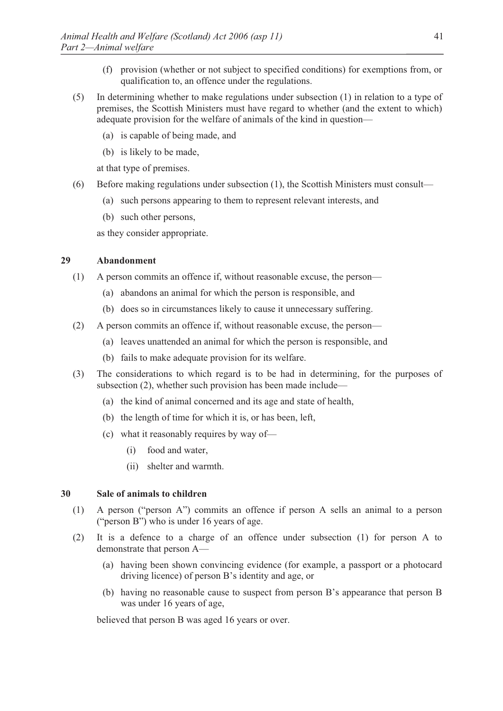- (f) provision (whether or not subject to specified conditions) for exemptions from, or qualification to, an offence under the regulations.
- (5) In determining whether to make regulations under subsection (1) in relation to a type of premises, the Scottish Ministers must have regard to whether (and the extent to which) adequate provision for the welfare of animals of the kind in question—
	- (a) is capable of being made, and
	- (b) is likely to be made,

at that type of premises.

- (6) Before making regulations under subsection (1), the Scottish Ministers must consult—
	- (a) such persons appearing to them to represent relevant interests, and
	- (b) such other persons,

as they consider appropriate.

# **29 Abandonment**

- (1) A person commits an offence if, without reasonable excuse, the person—
	- (a) abandons an animal for which the person is responsible, and
	- (b) does so in circumstances likely to cause it unnecessary suffering.
- (2) A person commits an offence if, without reasonable excuse, the person—
	- (a) leaves unattended an animal for which the person is responsible, and
	- (b) fails to make adequate provision for its welfare.
- (3) The considerations to which regard is to be had in determining, for the purposes of subsection (2), whether such provision has been made include—
	- (a) the kind of animal concerned and its age and state of health,
	- (b) the length of time for which it is, or has been, left,
	- (c) what it reasonably requires by way of—
		- (i) food and water,
		- (ii) shelter and warmth.

# **30 Sale of animals to children**

- (1) A person ("person A") commits an offence if person A sells an animal to a person ("person B") who is under 16 years of age.
- (2) It is a defence to a charge of an offence under subsection (1) for person A to demonstrate that person A—
	- (a) having been shown convincing evidence (for example, a passport or a photocard driving licence) of person B's identity and age, or
	- (b) having no reasonable cause to suspect from person B's appearance that person B was under 16 years of age,

believed that person B was aged 16 years or over.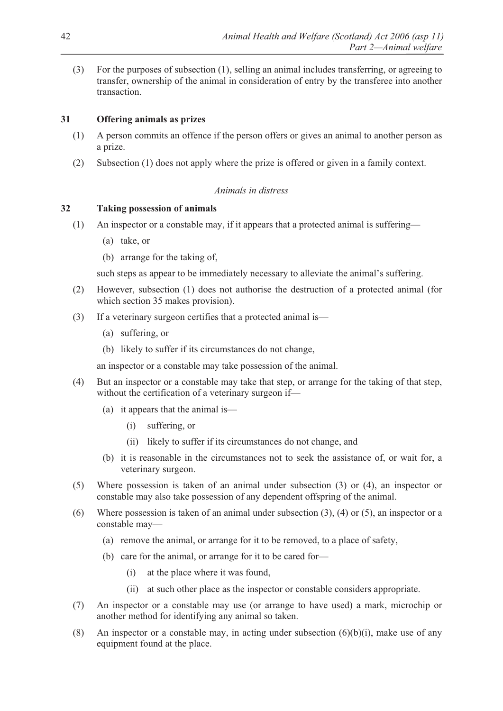(3) For the purposes of subsection (1), selling an animal includes transferring, or agreeing to transfer, ownership of the animal in consideration of entry by the transferee into another transaction.

# **31 Offering animals as prizes**

- (1) A person commits an offence if the person offers or gives an animal to another person as a prize.
- (2) Subsection (1) does not apply where the prize is offered or given in a family context.

# *Animals in distress*

# **32 Taking possession of animals**

- (1) An inspector or a constable may, if it appears that a protected animal is suffering—
	- (a) take, or
	- (b) arrange for the taking of,

such steps as appear to be immediately necessary to alleviate the animal's suffering.

- (2) However, subsection (1) does not authorise the destruction of a protected animal (for which section 35 makes provision).
- (3) If a veterinary surgeon certifies that a protected animal is—
	- (a) suffering, or
	- (b) likely to suffer if its circumstances do not change,

an inspector or a constable may take possession of the animal.

- (4) But an inspector or a constable may take that step, or arrange for the taking of that step, without the certification of a veterinary surgeon if—
	- (a) it appears that the animal is—
		- (i) suffering, or
		- (ii) likely to suffer if its circumstances do not change, and
	- (b) it is reasonable in the circumstances not to seek the assistance of, or wait for, a veterinary surgeon.
- (5) Where possession is taken of an animal under subsection (3) or (4), an inspector or constable may also take possession of any dependent offspring of the animal.
- (6) Where possession is taken of an animal under subsection (3), (4) or (5), an inspector or a constable may—
	- (a) remove the animal, or arrange for it to be removed, to a place of safety,
	- (b) care for the animal, or arrange for it to be cared for—
		- (i) at the place where it was found,
		- (ii) at such other place as the inspector or constable considers appropriate.
- (7) An inspector or a constable may use (or arrange to have used) a mark, microchip or another method for identifying any animal so taken.
- (8) An inspector or a constable may, in acting under subsection  $(6)(b)(i)$ , make use of any equipment found at the place.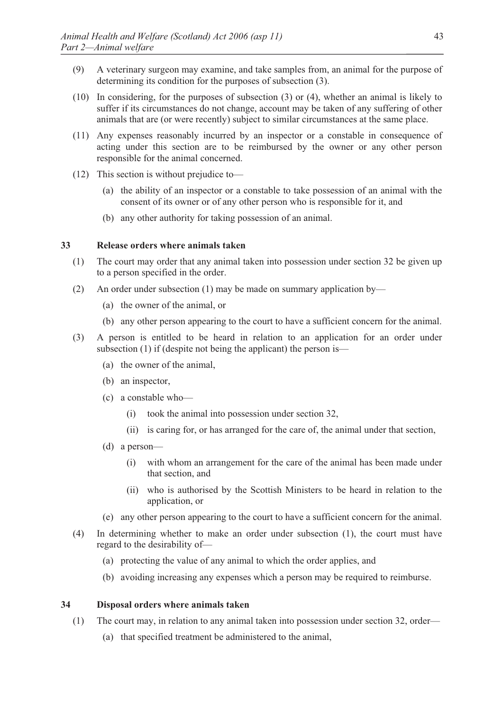- (9) A veterinary surgeon may examine, and take samples from, an animal for the purpose of determining its condition for the purposes of subsection (3).
- (10) In considering, for the purposes of subsection (3) or (4), whether an animal is likely to suffer if its circumstances do not change, account may be taken of any suffering of other animals that are (or were recently) subject to similar circumstances at the same place.
- (11) Any expenses reasonably incurred by an inspector or a constable in consequence of acting under this section are to be reimbursed by the owner or any other person responsible for the animal concerned.
- (12) This section is without prejudice to—
	- (a) the ability of an inspector or a constable to take possession of an animal with the consent of its owner or of any other person who is responsible for it, and
	- (b) any other authority for taking possession of an animal.

# **33 Release orders where animals taken**

- (1) The court may order that any animal taken into possession under section 32 be given up to a person specified in the order.
- (2) An order under subsection (1) may be made on summary application by—
	- (a) the owner of the animal, or
	- (b) any other person appearing to the court to have a sufficient concern for the animal.
- (3) A person is entitled to be heard in relation to an application for an order under subsection (1) if (despite not being the applicant) the person is—
	- (a) the owner of the animal,
	- (b) an inspector,
	- (c) a constable who—
		- (i) took the animal into possession under section 32,
		- (ii) is caring for, or has arranged for the care of, the animal under that section,
	- (d) a person—
		- (i) with whom an arrangement for the care of the animal has been made under that section, and
		- (ii) who is authorised by the Scottish Ministers to be heard in relation to the application, or
	- (e) any other person appearing to the court to have a sufficient concern for the animal.
- (4) In determining whether to make an order under subsection (1), the court must have regard to the desirability of—
	- (a) protecting the value of any animal to which the order applies, and
	- (b) avoiding increasing any expenses which a person may be required to reimburse.

### **34 Disposal orders where animals taken**

- (1) The court may, in relation to any animal taken into possession under section 32, order—
	- (a) that specified treatment be administered to the animal,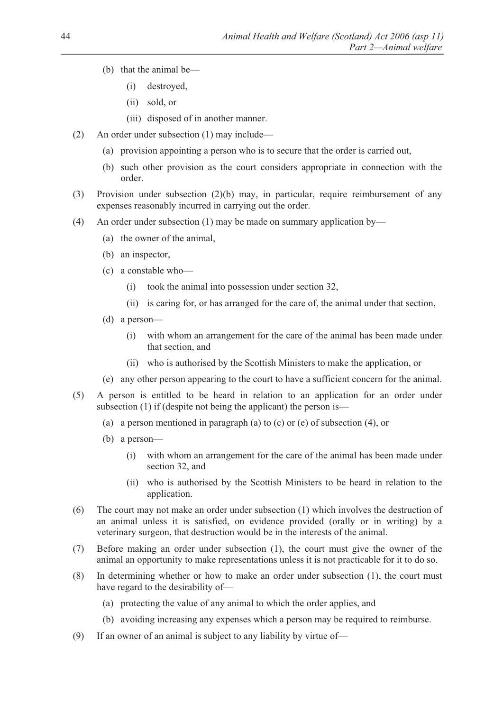- (b) that the animal be—
	- (i) destroyed,
	- (ii) sold, or
	- (iii) disposed of in another manner.
- (2) An order under subsection (1) may include—
	- (a) provision appointing a person who is to secure that the order is carried out,
	- (b) such other provision as the court considers appropriate in connection with the order.
- (3) Provision under subsection (2)(b) may, in particular, require reimbursement of any expenses reasonably incurred in carrying out the order.
- (4) An order under subsection (1) may be made on summary application by—
	- (a) the owner of the animal,
	- (b) an inspector,
	- (c) a constable who—
		- (i) took the animal into possession under section 32,
		- (ii) is caring for, or has arranged for the care of, the animal under that section,
	- (d) a person—
		- (i) with whom an arrangement for the care of the animal has been made under that section, and
		- (ii) who is authorised by the Scottish Ministers to make the application, or
	- (e) any other person appearing to the court to have a sufficient concern for the animal.
- (5) A person is entitled to be heard in relation to an application for an order under subsection (1) if (despite not being the applicant) the person is-
	- (a) a person mentioned in paragraph (a) to (c) or (e) of subsection (4), or
	- (b) a person—
		- (i) with whom an arrangement for the care of the animal has been made under section 32, and
		- (ii) who is authorised by the Scottish Ministers to be heard in relation to the application.
- (6) The court may not make an order under subsection (1) which involves the destruction of an animal unless it is satisfied, on evidence provided (orally or in writing) by a veterinary surgeon, that destruction would be in the interests of the animal.
- (7) Before making an order under subsection (1), the court must give the owner of the animal an opportunity to make representations unless it is not practicable for it to do so.
- (8) In determining whether or how to make an order under subsection (1), the court must have regard to the desirability of—
	- (a) protecting the value of any animal to which the order applies, and
	- (b) avoiding increasing any expenses which a person may be required to reimburse.
- (9) If an owner of an animal is subject to any liability by virtue of—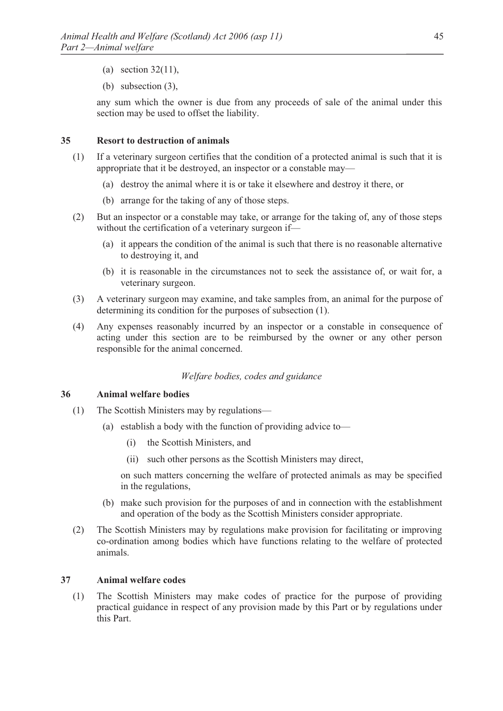- (a) section 32(11),
- (b) subsection (3),

any sum which the owner is due from any proceeds of sale of the animal under this section may be used to offset the liability.

### **35 Resort to destruction of animals**

- (1) If a veterinary surgeon certifies that the condition of a protected animal is such that it is appropriate that it be destroyed, an inspector or a constable may—
	- (a) destroy the animal where it is or take it elsewhere and destroy it there, or
	- (b) arrange for the taking of any of those steps.
- (2) But an inspector or a constable may take, or arrange for the taking of, any of those steps without the certification of a veterinary surgeon if—
	- (a) it appears the condition of the animal is such that there is no reasonable alternative to destroying it, and
	- (b) it is reasonable in the circumstances not to seek the assistance of, or wait for, a veterinary surgeon.
- (3) A veterinary surgeon may examine, and take samples from, an animal for the purpose of determining its condition for the purposes of subsection (1).
- (4) Any expenses reasonably incurred by an inspector or a constable in consequence of acting under this section are to be reimbursed by the owner or any other person responsible for the animal concerned.

# *Welfare bodies, codes and guidance*

#### **36 Animal welfare bodies**

- (1) The Scottish Ministers may by regulations—
	- (a) establish a body with the function of providing advice to—
		- (i) the Scottish Ministers, and
		- (ii) such other persons as the Scottish Ministers may direct,

on such matters concerning the welfare of protected animals as may be specified in the regulations,

- (b) make such provision for the purposes of and in connection with the establishment and operation of the body as the Scottish Ministers consider appropriate.
- (2) The Scottish Ministers may by regulations make provision for facilitating or improving co-ordination among bodies which have functions relating to the welfare of protected animals.

# **37 Animal welfare codes**

(1) The Scottish Ministers may make codes of practice for the purpose of providing practical guidance in respect of any provision made by this Part or by regulations under this Part.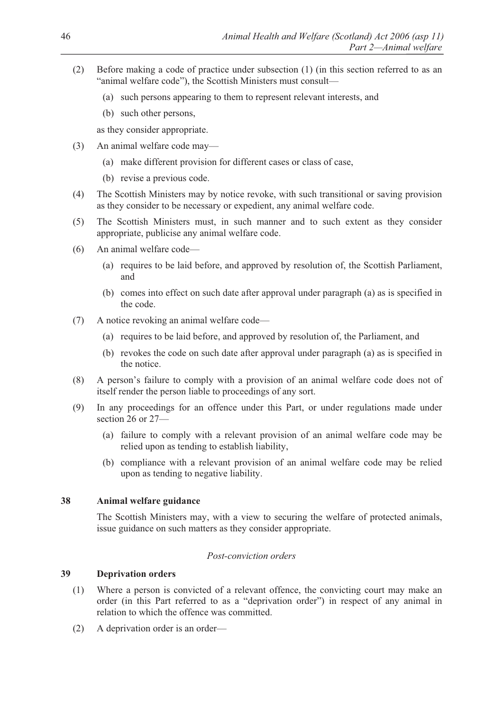- (2) Before making a code of practice under subsection (1) (in this section referred to as an "animal welfare code"), the Scottish Ministers must consult—
	- (a) such persons appearing to them to represent relevant interests, and
	- (b) such other persons,

as they consider appropriate.

- (3) An animal welfare code may—
	- (a) make different provision for different cases or class of case,
	- (b) revise a previous code.
- (4) The Scottish Ministers may by notice revoke, with such transitional or saving provision as they consider to be necessary or expedient, any animal welfare code.
- (5) The Scottish Ministers must, in such manner and to such extent as they consider appropriate, publicise any animal welfare code.
- (6) An animal welfare code—
	- (a) requires to be laid before, and approved by resolution of, the Scottish Parliament, and
	- (b) comes into effect on such date after approval under paragraph (a) as is specified in the code.
- (7) A notice revoking an animal welfare code—
	- (a) requires to be laid before, and approved by resolution of, the Parliament, and
	- (b) revokes the code on such date after approval under paragraph (a) as is specified in the notice.
- (8) A person's failure to comply with a provision of an animal welfare code does not of itself render the person liable to proceedings of any sort.
- (9) In any proceedings for an offence under this Part, or under regulations made under section 26 or 27—
	- (a) failure to comply with a relevant provision of an animal welfare code may be relied upon as tending to establish liability,
	- (b) compliance with a relevant provision of an animal welfare code may be relied upon as tending to negative liability.

# **38 Animal welfare guidance**

The Scottish Ministers may, with a view to securing the welfare of protected animals, issue guidance on such matters as they consider appropriate.

# *Post-conviction orders*

# **39 Deprivation orders**

- (1) Where a person is convicted of a relevant offence, the convicting court may make an order (in this Part referred to as a "deprivation order") in respect of any animal in relation to which the offence was committed.
- (2) A deprivation order is an order—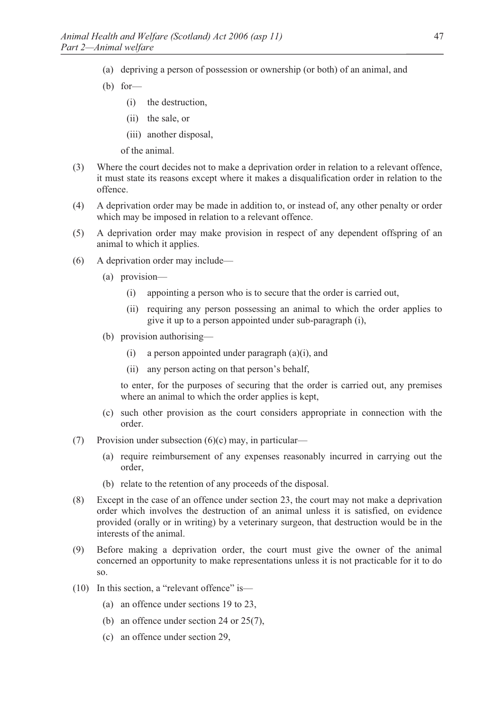- (a) depriving a person of possession or ownership (or both) of an animal, and
- (b) for—
	- (i) the destruction,
	- (ii) the sale, or
	- (iii) another disposal,
	- of the animal.
- (3) Where the court decides not to make a deprivation order in relation to a relevant offence, it must state its reasons except where it makes a disqualification order in relation to the offence.
- (4) A deprivation order may be made in addition to, or instead of, any other penalty or order which may be imposed in relation to a relevant offence.
- (5) A deprivation order may make provision in respect of any dependent offspring of an animal to which it applies.
- (6) A deprivation order may include—
	- (a) provision—
		- (i) appointing a person who is to secure that the order is carried out,
		- (ii) requiring any person possessing an animal to which the order applies to give it up to a person appointed under sub-paragraph (i),
	- (b) provision authorising—
		- (i) a person appointed under paragraph (a)(i), and
		- (ii) any person acting on that person's behalf,

to enter, for the purposes of securing that the order is carried out, any premises where an animal to which the order applies is kept,

- (c) such other provision as the court considers appropriate in connection with the order.
- (7) Provision under subsection  $(6)(c)$  may, in particular—
	- (a) require reimbursement of any expenses reasonably incurred in carrying out the order,
	- (b) relate to the retention of any proceeds of the disposal.
- (8) Except in the case of an offence under section 23, the court may not make a deprivation order which involves the destruction of an animal unless it is satisfied, on evidence provided (orally or in writing) by a veterinary surgeon, that destruction would be in the interests of the animal.
- (9) Before making a deprivation order, the court must give the owner of the animal concerned an opportunity to make representations unless it is not practicable for it to do so.
- (10) In this section, a "relevant offence" is—
	- (a) an offence under sections 19 to 23,
	- (b) an offence under section 24 or 25(7),
	- (c) an offence under section 29,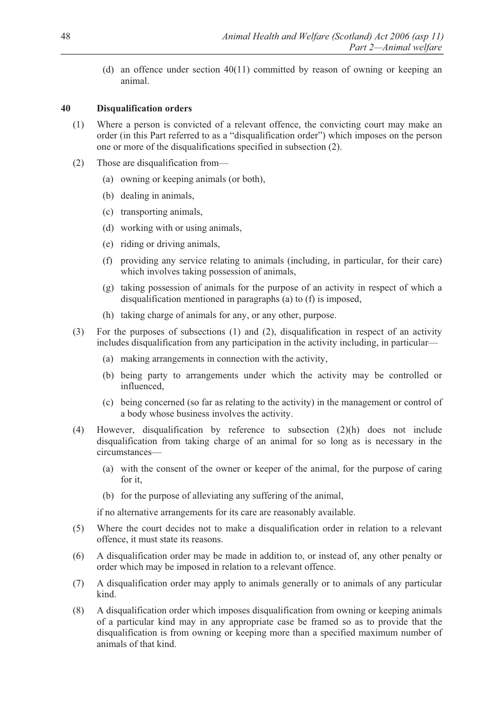(d) an offence under section 40(11) committed by reason of owning or keeping an animal.

# **40 Disqualification orders**

- (1) Where a person is convicted of a relevant offence, the convicting court may make an order (in this Part referred to as a "disqualification order") which imposes on the person one or more of the disqualifications specified in subsection (2).
- (2) Those are disqualification from—
	- (a) owning or keeping animals (or both),
	- (b) dealing in animals,
	- (c) transporting animals,
	- (d) working with or using animals,
	- (e) riding or driving animals,
	- (f) providing any service relating to animals (including, in particular, for their care) which involves taking possession of animals,
	- (g) taking possession of animals for the purpose of an activity in respect of which a disqualification mentioned in paragraphs (a) to (f) is imposed,
	- (h) taking charge of animals for any, or any other, purpose.
- (3) For the purposes of subsections (1) and (2), disqualification in respect of an activity includes disqualification from any participation in the activity including, in particular—
	- (a) making arrangements in connection with the activity,
	- (b) being party to arrangements under which the activity may be controlled or influenced,
	- (c) being concerned (so far as relating to the activity) in the management or control of a body whose business involves the activity.
- (4) However, disqualification by reference to subsection (2)(h) does not include disqualification from taking charge of an animal for so long as is necessary in the circumstances—
	- (a) with the consent of the owner or keeper of the animal, for the purpose of caring for it,
	- (b) for the purpose of alleviating any suffering of the animal,

if no alternative arrangements for its care are reasonably available.

- (5) Where the court decides not to make a disqualification order in relation to a relevant offence, it must state its reasons.
- (6) A disqualification order may be made in addition to, or instead of, any other penalty or order which may be imposed in relation to a relevant offence.
- (7) A disqualification order may apply to animals generally or to animals of any particular kind.
- (8) A disqualification order which imposes disqualification from owning or keeping animals of a particular kind may in any appropriate case be framed so as to provide that the disqualification is from owning or keeping more than a specified maximum number of animals of that kind.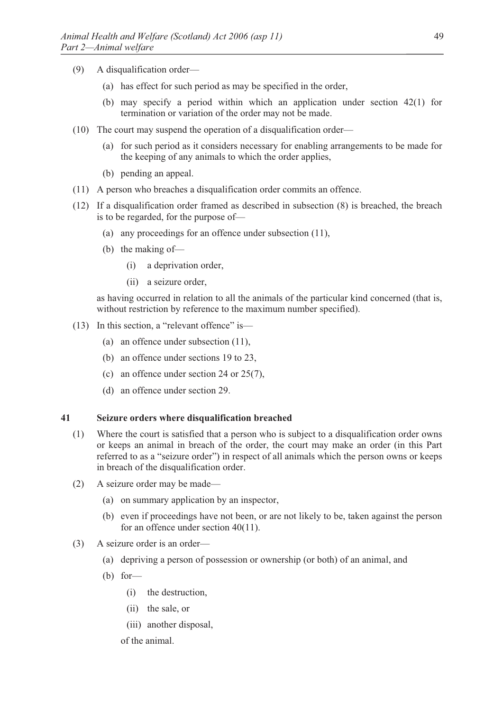- (9) A disqualification order—
	- (a) has effect for such period as may be specified in the order,
	- (b) may specify a period within which an application under section 42(1) for termination or variation of the order may not be made.
- (10) The court may suspend the operation of a disqualification order—
	- (a) for such period as it considers necessary for enabling arrangements to be made for the keeping of any animals to which the order applies,
	- (b) pending an appeal.
- (11) A person who breaches a disqualification order commits an offence.
- (12) If a disqualification order framed as described in subsection (8) is breached, the breach is to be regarded, for the purpose of—
	- (a) any proceedings for an offence under subsection (11),
	- (b) the making of—
		- (i) a deprivation order,
		- (ii) a seizure order,

as having occurred in relation to all the animals of the particular kind concerned (that is, without restriction by reference to the maximum number specified).

- (13) In this section, a "relevant offence" is—
	- (a) an offence under subsection (11),
	- (b) an offence under sections 19 to 23,
	- (c) an offence under section 24 or 25(7),
	- (d) an offence under section 29.

#### **41 Seizure orders where disqualification breached**

- (1) Where the court is satisfied that a person who is subject to a disqualification order owns or keeps an animal in breach of the order, the court may make an order (in this Part referred to as a "seizure order") in respect of all animals which the person owns or keeps in breach of the disqualification order.
- (2) A seizure order may be made—
	- (a) on summary application by an inspector,
	- (b) even if proceedings have not been, or are not likely to be, taken against the person for an offence under section 40(11).
- (3) A seizure order is an order—
	- (a) depriving a person of possession or ownership (or both) of an animal, and
	- $(b)$  for
		- (i) the destruction,
		- (ii) the sale, or
		- (iii) another disposal,
		- of the animal.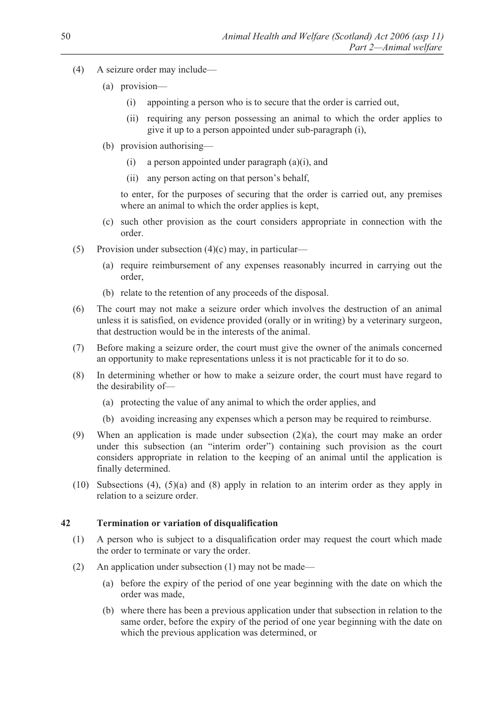- (4) A seizure order may include—
	- (a) provision—
		- (i) appointing a person who is to secure that the order is carried out,
		- (ii) requiring any person possessing an animal to which the order applies to give it up to a person appointed under sub-paragraph (i),
	- (b) provision authorising—
		- (i) a person appointed under paragraph (a)(i), and
		- (ii) any person acting on that person's behalf,

to enter, for the purposes of securing that the order is carried out, any premises where an animal to which the order applies is kept,

- (c) such other provision as the court considers appropriate in connection with the order.
- (5) Provision under subsection  $(4)(c)$  may, in particular—
	- (a) require reimbursement of any expenses reasonably incurred in carrying out the order,
	- (b) relate to the retention of any proceeds of the disposal.
- (6) The court may not make a seizure order which involves the destruction of an animal unless it is satisfied, on evidence provided (orally or in writing) by a veterinary surgeon, that destruction would be in the interests of the animal.
- (7) Before making a seizure order, the court must give the owner of the animals concerned an opportunity to make representations unless it is not practicable for it to do so.
- (8) In determining whether or how to make a seizure order, the court must have regard to the desirability of—
	- (a) protecting the value of any animal to which the order applies, and
	- (b) avoiding increasing any expenses which a person may be required to reimburse.
- (9) When an application is made under subsection (2)(a), the court may make an order under this subsection (an "interim order") containing such provision as the court considers appropriate in relation to the keeping of an animal until the application is finally determined.
- (10) Subsections (4), (5)(a) and (8) apply in relation to an interim order as they apply in relation to a seizure order.

### **42 Termination or variation of disqualification**

- (1) A person who is subject to a disqualification order may request the court which made the order to terminate or vary the order.
- (2) An application under subsection (1) may not be made—
	- (a) before the expiry of the period of one year beginning with the date on which the order was made,
	- (b) where there has been a previous application under that subsection in relation to the same order, before the expiry of the period of one year beginning with the date on which the previous application was determined, or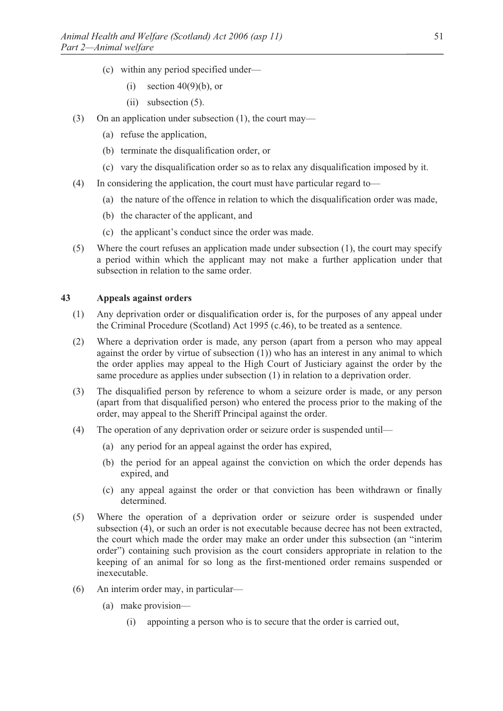- (c) within any period specified under—
	- (i) section  $40(9)(b)$ , or
	- (ii) subsection (5).
- (3) On an application under subsection (1), the court may—
	- (a) refuse the application,
	- (b) terminate the disqualification order, or
	- (c) vary the disqualification order so as to relax any disqualification imposed by it.
- (4) In considering the application, the court must have particular regard to—
	- (a) the nature of the offence in relation to which the disqualification order was made,
	- (b) the character of the applicant, and
	- (c) the applicant's conduct since the order was made.
- (5) Where the court refuses an application made under subsection (1), the court may specify a period within which the applicant may not make a further application under that subsection in relation to the same order.

### **43 Appeals against orders**

- (1) Any deprivation order or disqualification order is, for the purposes of any appeal under the Criminal Procedure (Scotland) Act 1995 (c.46), to be treated as a sentence.
- (2) Where a deprivation order is made, any person (apart from a person who may appeal against the order by virtue of subsection  $(1)$ ) who has an interest in any animal to which the order applies may appeal to the High Court of Justiciary against the order by the same procedure as applies under subsection (1) in relation to a deprivation order.
- (3) The disqualified person by reference to whom a seizure order is made, or any person (apart from that disqualified person) who entered the process prior to the making of the order, may appeal to the Sheriff Principal against the order.
- (4) The operation of any deprivation order or seizure order is suspended until—
	- (a) any period for an appeal against the order has expired,
	- (b) the period for an appeal against the conviction on which the order depends has expired, and
	- (c) any appeal against the order or that conviction has been withdrawn or finally determined.
- (5) Where the operation of a deprivation order or seizure order is suspended under subsection (4), or such an order is not executable because decree has not been extracted, the court which made the order may make an order under this subsection (an "interim order") containing such provision as the court considers appropriate in relation to the keeping of an animal for so long as the first-mentioned order remains suspended or inexecutable.
- (6) An interim order may, in particular—
	- (a) make provision—
		- (i) appointing a person who is to secure that the order is carried out,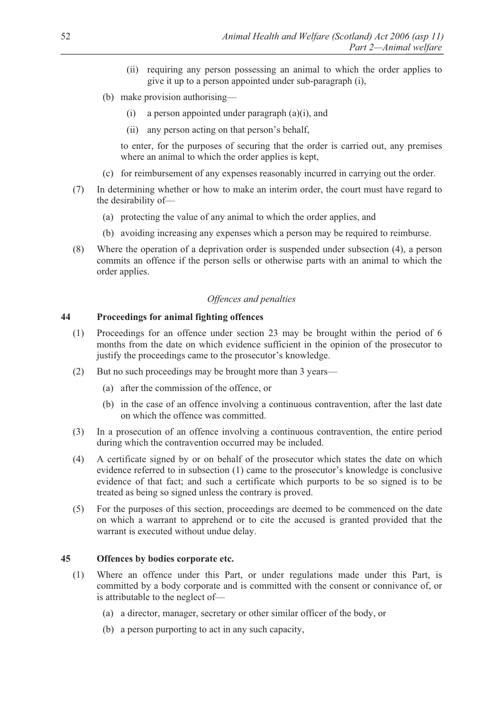- (ii) requiring any person possessing an animal to which the order applies to give it up to a person appointed under sub-paragraph (i),
- (b) make provision authorising—
	- (i) a person appointed under paragraph  $(a)(i)$ , and
	- (ii) any person acting on that person's behalf,

to enter, for the purposes of securing that the order is carried out, any premises where an animal to which the order applies is kept,

- (c) for reimbursement of any expenses reasonably incurred in carrying out the order.
- (7) In determining whether or how to make an interim order, the court must have regard to the desirability of—
	- (a) protecting the value of any animal to which the order applies, and
	- (b) avoiding increasing any expenses which a person may be required to reimburse.
- (8) Where the operation of a deprivation order is suspended under subsection (4), a person commits an offence if the person sells or otherwise parts with an animal to which the order applies.

# *Offences and penalties*

# **44 Proceedings for animal fighting offences**

- (1) Proceedings for an offence under section 23 may be brought within the period of 6 months from the date on which evidence sufficient in the opinion of the prosecutor to justify the proceedings came to the prosecutor's knowledge.
- (2) But no such proceedings may be brought more than 3 years—
	- (a) after the commission of the offence, or
	- (b) in the case of an offence involving a continuous contravention, after the last date on which the offence was committed.
- (3) In a prosecution of an offence involving a continuous contravention, the entire period during which the contravention occurred may be included.
- (4) A certificate signed by or on behalf of the prosecutor which states the date on which evidence referred to in subsection (1) came to the prosecutor's knowledge is conclusive evidence of that fact; and such a certificate which purports to be so signed is to be treated as being so signed unless the contrary is proved.
- (5) For the purposes of this section, proceedings are deemed to be commenced on the date on which a warrant to apprehend or to cite the accused is granted provided that the warrant is executed without undue delay.

# **45 Offences by bodies corporate etc.**

- (1) Where an offence under this Part, or under regulations made under this Part, is committed by a body corporate and is committed with the consent or connivance of, or is attributable to the neglect of—
	- (a) a director, manager, secretary or other similar officer of the body, or
	- (b) a person purporting to act in any such capacity,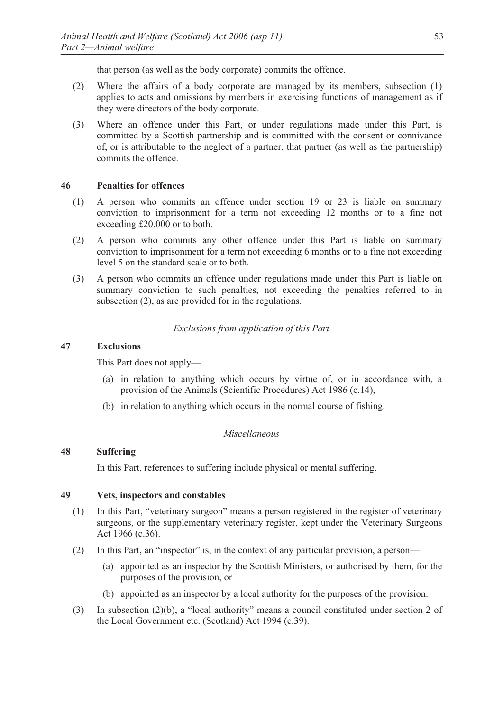that person (as well as the body corporate) commits the offence.

- (2) Where the affairs of a body corporate are managed by its members, subsection (1) applies to acts and omissions by members in exercising functions of management as if they were directors of the body corporate.
- (3) Where an offence under this Part, or under regulations made under this Part, is committed by a Scottish partnership and is committed with the consent or connivance of, or is attributable to the neglect of a partner, that partner (as well as the partnership) commits the offence.

### **46 Penalties for offences**

- (1) A person who commits an offence under section 19 or 23 is liable on summary conviction to imprisonment for a term not exceeding 12 months or to a fine not exceeding £20,000 or to both.
- (2) A person who commits any other offence under this Part is liable on summary conviction to imprisonment for a term not exceeding 6 months or to a fine not exceeding level 5 on the standard scale or to both.
- (3) A person who commits an offence under regulations made under this Part is liable on summary conviction to such penalties, not exceeding the penalties referred to in subsection (2), as are provided for in the regulations.

# *Exclusions from application of this Part*

#### **47 Exclusions**

This Part does not apply—

- (a) in relation to anything which occurs by virtue of, or in accordance with, a provision of the Animals (Scientific Procedures) Act 1986 (c.14),
- (b) in relation to anything which occurs in the normal course of fishing.

#### *Miscellaneous*

# **48 Suffering**

In this Part, references to suffering include physical or mental suffering.

# **49 Vets, inspectors and constables**

- (1) In this Part, "veterinary surgeon" means a person registered in the register of veterinary surgeons, or the supplementary veterinary register, kept under the Veterinary Surgeons Act 1966 (c.36).
- (2) In this Part, an "inspector" is, in the context of any particular provision, a person—
	- (a) appointed as an inspector by the Scottish Ministers, or authorised by them, for the purposes of the provision, or
	- (b) appointed as an inspector by a local authority for the purposes of the provision.
- (3) In subsection (2)(b), a "local authority" means a council constituted under section 2 of the Local Government etc. (Scotland) Act 1994 (c.39).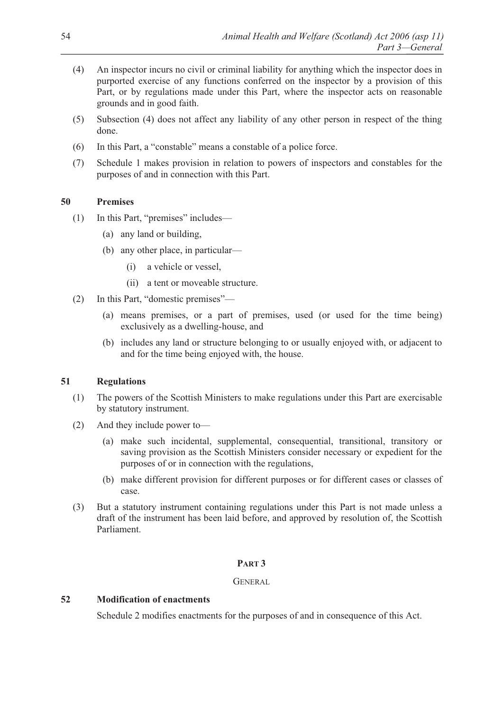- (4) An inspector incurs no civil or criminal liability for anything which the inspector does in purported exercise of any functions conferred on the inspector by a provision of this Part, or by regulations made under this Part, where the inspector acts on reasonable grounds and in good faith.
- (5) Subsection (4) does not affect any liability of any other person in respect of the thing done.
- (6) In this Part, a "constable" means a constable of a police force.
- (7) Schedule 1 makes provision in relation to powers of inspectors and constables for the purposes of and in connection with this Part.

# **50 Premises**

- (1) In this Part, "premises" includes—
	- (a) any land or building,
	- (b) any other place, in particular—
		- (i) a vehicle or vessel,
		- (ii) a tent or moveable structure.
- (2) In this Part, "domestic premises"—
	- (a) means premises, or a part of premises, used (or used for the time being) exclusively as a dwelling-house, and
	- (b) includes any land or structure belonging to or usually enjoyed with, or adjacent to and for the time being enjoyed with, the house.

### **51 Regulations**

- (1) The powers of the Scottish Ministers to make regulations under this Part are exercisable by statutory instrument.
- (2) And they include power to—
	- (a) make such incidental, supplemental, consequential, transitional, transitory or saving provision as the Scottish Ministers consider necessary or expedient for the purposes of or in connection with the regulations,
	- (b) make different provision for different purposes or for different cases or classes of case.
- (3) But a statutory instrument containing regulations under this Part is not made unless a draft of the instrument has been laid before, and approved by resolution of, the Scottish Parliament.

### **PART 3**

### GENERAL

# **52 Modification of enactments**

Schedule 2 modifies enactments for the purposes of and in consequence of this Act.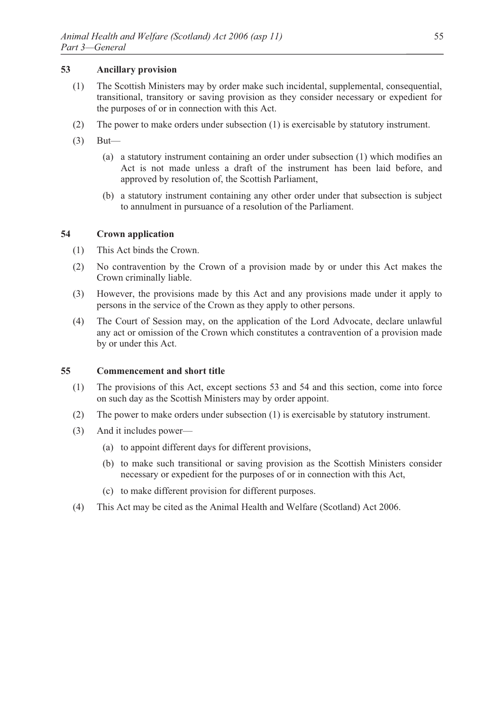# **53 Ancillary provision**

- (1) The Scottish Ministers may by order make such incidental, supplemental, consequential, transitional, transitory or saving provision as they consider necessary or expedient for the purposes of or in connection with this Act.
- (2) The power to make orders under subsection (1) is exercisable by statutory instrument.
- (3) But—
	- (a) a statutory instrument containing an order under subsection (1) which modifies an Act is not made unless a draft of the instrument has been laid before, and approved by resolution of, the Scottish Parliament,
	- (b) a statutory instrument containing any other order under that subsection is subject to annulment in pursuance of a resolution of the Parliament.

# **54 Crown application**

- (1) This Act binds the Crown.
- (2) No contravention by the Crown of a provision made by or under this Act makes the Crown criminally liable.
- (3) However, the provisions made by this Act and any provisions made under it apply to persons in the service of the Crown as they apply to other persons.
- (4) The Court of Session may, on the application of the Lord Advocate, declare unlawful any act or omission of the Crown which constitutes a contravention of a provision made by or under this Act.

### **55 Commencement and short title**

- (1) The provisions of this Act, except sections 53 and 54 and this section, come into force on such day as the Scottish Ministers may by order appoint.
- (2) The power to make orders under subsection (1) is exercisable by statutory instrument.
- (3) And it includes power—
	- (a) to appoint different days for different provisions,
	- (b) to make such transitional or saving provision as the Scottish Ministers consider necessary or expedient for the purposes of or in connection with this Act,
	- (c) to make different provision for different purposes.
- (4) This Act may be cited as the Animal Health and Welfare (Scotland) Act 2006.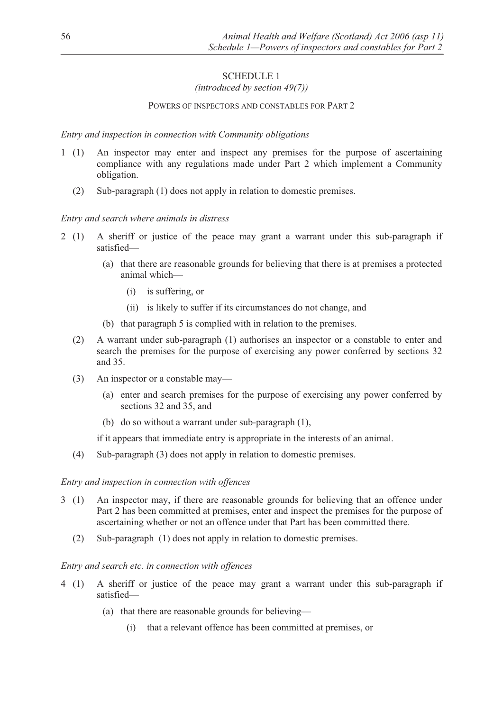# SCHEDULE 1

# *(introduced by section 49(7))*

# POWERS OF INSPECTORS AND CONSTABLES FOR PART 2

### *Entry and inspection in connection with Community obligations*

- 1 (1) An inspector may enter and inspect any premises for the purpose of ascertaining compliance with any regulations made under Part 2 which implement a Community obligation.
	- (2) Sub-paragraph (1) does not apply in relation to domestic premises.

### *Entry and search where animals in distress*

- 2 (1) A sheriff or justice of the peace may grant a warrant under this sub-paragraph if satisfied—
	- (a) that there are reasonable grounds for believing that there is at premises a protected animal which—
		- (i) is suffering, or
		- (ii) is likely to suffer if its circumstances do not change, and
	- (b) that paragraph 5 is complied with in relation to the premises.
	- (2) A warrant under sub-paragraph (1) authorises an inspector or a constable to enter and search the premises for the purpose of exercising any power conferred by sections 32 and 35.
	- (3) An inspector or a constable may—
		- (a) enter and search premises for the purpose of exercising any power conferred by sections 32 and 35, and
		- (b) do so without a warrant under sub-paragraph (1),

if it appears that immediate entry is appropriate in the interests of an animal.

(4) Sub-paragraph (3) does not apply in relation to domestic premises.

### *Entry and inspection in connection with offences*

- 3 (1) An inspector may, if there are reasonable grounds for believing that an offence under Part 2 has been committed at premises, enter and inspect the premises for the purpose of ascertaining whether or not an offence under that Part has been committed there.
	- (2) Sub-paragraph (1) does not apply in relation to domestic premises.

#### *Entry and search etc. in connection with offences*

- 4 (1) A sheriff or justice of the peace may grant a warrant under this sub-paragraph if satisfied—
	- (a) that there are reasonable grounds for believing—
		- (i) that a relevant offence has been committed at premises, or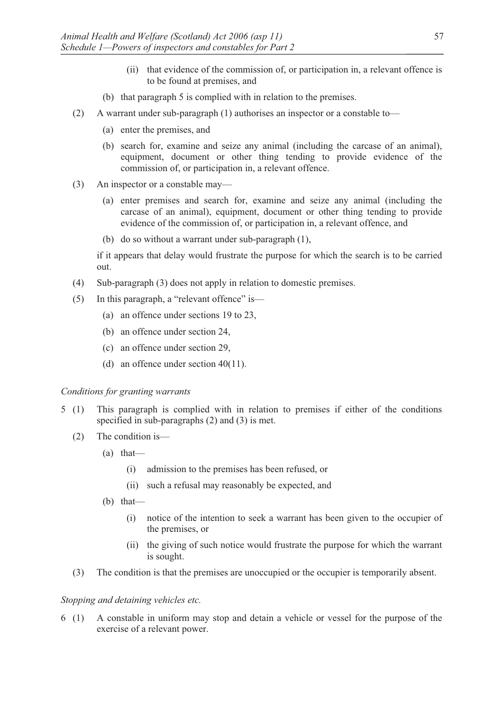- (ii) that evidence of the commission of, or participation in, a relevant offence is to be found at premises, and
- (b) that paragraph 5 is complied with in relation to the premises.
- (2) A warrant under sub-paragraph (1) authorises an inspector or a constable to—
	- (a) enter the premises, and
	- (b) search for, examine and seize any animal (including the carcase of an animal), equipment, document or other thing tending to provide evidence of the commission of, or participation in, a relevant offence.
- (3) An inspector or a constable may—
	- (a) enter premises and search for, examine and seize any animal (including the carcase of an animal), equipment, document or other thing tending to provide evidence of the commission of, or participation in, a relevant offence, and
	- (b) do so without a warrant under sub-paragraph (1),

if it appears that delay would frustrate the purpose for which the search is to be carried out.

- (4) Sub-paragraph (3) does not apply in relation to domestic premises.
- (5) In this paragraph, a "relevant offence" is—
	- (a) an offence under sections 19 to 23,
	- (b) an offence under section 24,
	- (c) an offence under section 29,
	- (d) an offence under section 40(11).

### *Conditions for granting warrants*

- 5 (1) This paragraph is complied with in relation to premises if either of the conditions specified in sub-paragraphs (2) and (3) is met.
	- (2) The condition is—
		- (a) that—
			- (i) admission to the premises has been refused, or
			- (ii) such a refusal may reasonably be expected, and
		- (b) that—
			- (i) notice of the intention to seek a warrant has been given to the occupier of the premises, or
			- (ii) the giving of such notice would frustrate the purpose for which the warrant is sought.
	- (3) The condition is that the premises are unoccupied or the occupier is temporarily absent.

# *Stopping and detaining vehicles etc.*

6 (1) A constable in uniform may stop and detain a vehicle or vessel for the purpose of the exercise of a relevant power.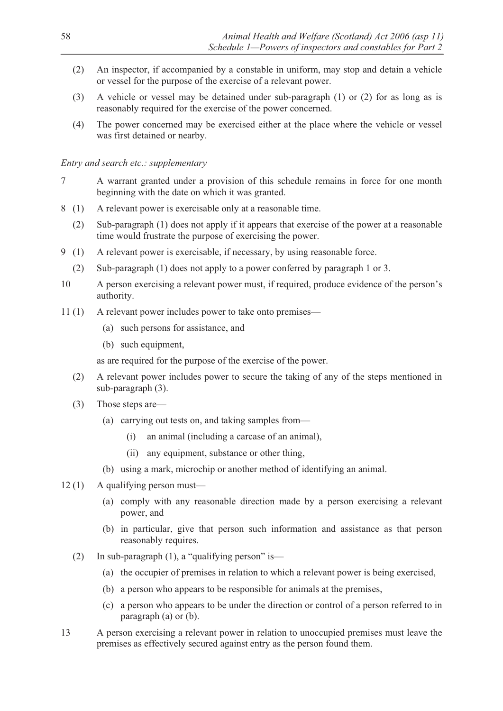- (2) An inspector, if accompanied by a constable in uniform, may stop and detain a vehicle or vessel for the purpose of the exercise of a relevant power.
- (3) A vehicle or vessel may be detained under sub-paragraph (1) or (2) for as long as is reasonably required for the exercise of the power concerned.
- (4) The power concerned may be exercised either at the place where the vehicle or vessel was first detained or nearby.

# *Entry and search etc.: supplementary*

- 7 A warrant granted under a provision of this schedule remains in force for one month beginning with the date on which it was granted.
- 8 (1) A relevant power is exercisable only at a reasonable time.
	- (2) Sub-paragraph (1) does not apply if it appears that exercise of the power at a reasonable time would frustrate the purpose of exercising the power.
- 9 (1) A relevant power is exercisable, if necessary, by using reasonable force.
	- (2) Sub-paragraph (1) does not apply to a power conferred by paragraph 1 or 3.
- 10 A person exercising a relevant power must, if required, produce evidence of the person's authority.
- 11 (1) A relevant power includes power to take onto premises—
	- (a) such persons for assistance, and
	- (b) such equipment,

as are required for the purpose of the exercise of the power.

- (2) A relevant power includes power to secure the taking of any of the steps mentioned in sub-paragraph (3).
- (3) Those steps are—
	- (a) carrying out tests on, and taking samples from—
		- (i) an animal (including a carcase of an animal),
		- (ii) any equipment, substance or other thing,
	- (b) using a mark, microchip or another method of identifying an animal.
- 12 (1) A qualifying person must—
	- (a) comply with any reasonable direction made by a person exercising a relevant power, and
	- (b) in particular, give that person such information and assistance as that person reasonably requires.
	- (2) In sub-paragraph (1), a "qualifying person" is—
		- (a) the occupier of premises in relation to which a relevant power is being exercised,
		- (b) a person who appears to be responsible for animals at the premises,
		- (c) a person who appears to be under the direction or control of a person referred to in paragraph (a) or (b).
- 13 A person exercising a relevant power in relation to unoccupied premises must leave the premises as effectively secured against entry as the person found them.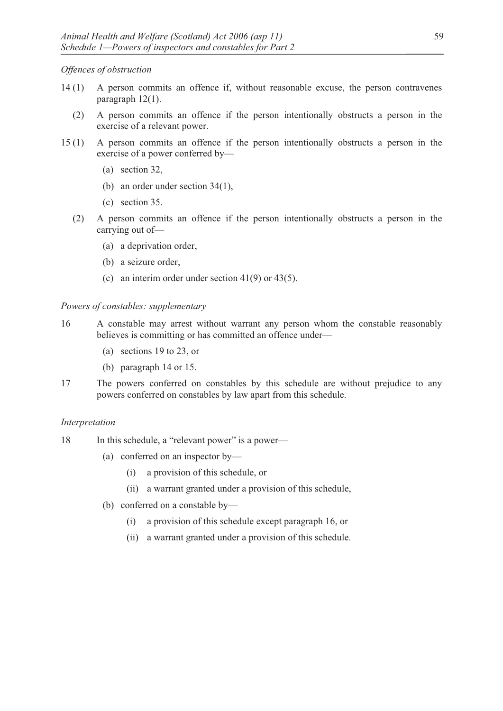*Offences of obstruction* 

- 14 (1) A person commits an offence if, without reasonable excuse, the person contravenes paragraph 12(1).
	- (2) A person commits an offence if the person intentionally obstructs a person in the exercise of a relevant power.
- 15 (1) A person commits an offence if the person intentionally obstructs a person in the exercise of a power conferred by—
	- (a) section 32,
	- (b) an order under section 34(1),
	- (c) section 35.
	- (2) A person commits an offence if the person intentionally obstructs a person in the carrying out of—
		- (a) a deprivation order,
		- (b) a seizure order,
		- (c) an interim order under section 41(9) or 43(5).

*Powers of constables: supplementary* 

- 16 A constable may arrest without warrant any person whom the constable reasonably believes is committing or has committed an offence under—
	- (a) sections 19 to 23, or
	- (b) paragraph 14 or 15.
- 17 The powers conferred on constables by this schedule are without prejudice to any powers conferred on constables by law apart from this schedule.

#### *Interpretation*

18 In this schedule, a "relevant power" is a power—

- (a) conferred on an inspector by—
	- (i) a provision of this schedule, or
	- (ii) a warrant granted under a provision of this schedule,
- (b) conferred on a constable by—
	- (i) a provision of this schedule except paragraph 16, or
	- (ii) a warrant granted under a provision of this schedule.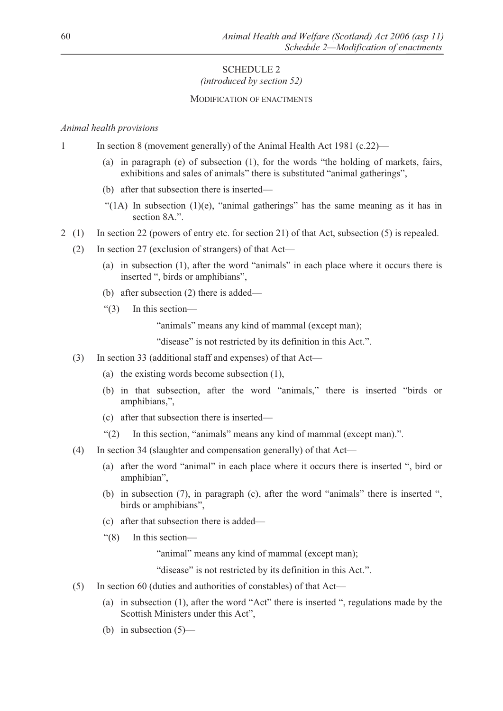# SCHEDULE 2 *(introduced by section 52)*

#### MODIFICATION OF ENACTMENTS

#### *Animal health provisions*

- 1 In section 8 (movement generally) of the Animal Health Act 1981 (c.22)—
	- (a) in paragraph (e) of subsection (1), for the words "the holding of markets, fairs, exhibitions and sales of animals" there is substituted "animal gatherings",
	- (b) after that subsection there is inserted—
	- "(1A) In subsection  $(1)(e)$ , "animal gatherings" has the same meaning as it has in section 8A.".
- 2 (1) In section 22 (powers of entry etc. for section 21) of that Act, subsection (5) is repealed.
	- (2) In section 27 (exclusion of strangers) of that Act—
		- (a) in subsection (1), after the word "animals" in each place where it occurs there is inserted ", birds or amphibians",
		- (b) after subsection (2) there is added—
		- "(3) In this section—

"animals" means any kind of mammal (except man);

"disease" is not restricted by its definition in this Act.".

- (3) In section 33 (additional staff and expenses) of that Act—
	- (a) the existing words become subsection (1),
	- (b) in that subsection, after the word "animals," there is inserted "birds or amphibians,",
	- (c) after that subsection there is inserted—
	- "(2) In this section, "animals" means any kind of mammal (except man).".
- (4) In section 34 (slaughter and compensation generally) of that Act—
	- (a) after the word "animal" in each place where it occurs there is inserted ", bird or amphibian",
	- (b) in subsection (7), in paragraph (c), after the word "animals" there is inserted ", birds or amphibians",
	- (c) after that subsection there is added—
	- "(8) In this section—

"animal" means any kind of mammal (except man);

"disease" is not restricted by its definition in this Act.".

- (5) In section 60 (duties and authorities of constables) of that Act—
	- (a) in subsection (1), after the word "Act" there is inserted ", regulations made by the Scottish Ministers under this Act",
	- (b) in subsection (5)—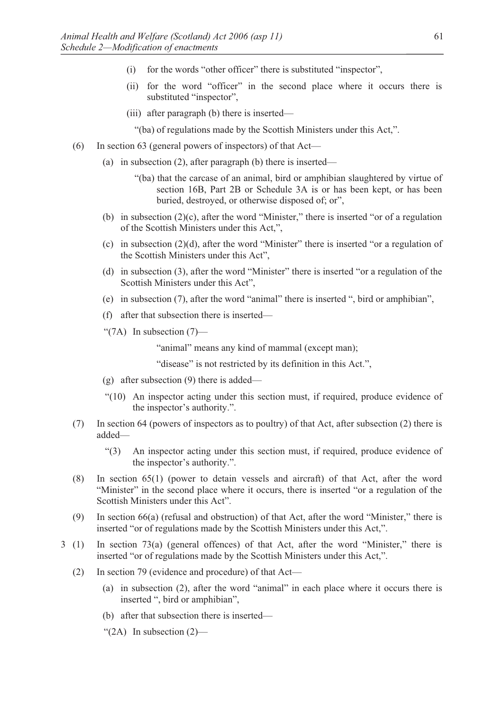- (i) for the words "other officer" there is substituted "inspector",
- (ii) for the word "officer" in the second place where it occurs there is substituted "inspector",
- (iii) after paragraph (b) there is inserted—

"(ba) of regulations made by the Scottish Ministers under this Act,".

- (6) In section 63 (general powers of inspectors) of that Act—
	- (a) in subsection (2), after paragraph (b) there is inserted—
		- "(ba) that the carcase of an animal, bird or amphibian slaughtered by virtue of section 16B, Part 2B or Schedule 3A is or has been kept, or has been buried, destroyed, or otherwise disposed of; or",
	- (b) in subsection (2)(c), after the word "Minister," there is inserted "or of a regulation of the Scottish Ministers under this Act,",
	- (c) in subsection (2)(d), after the word "Minister" there is inserted "or a regulation of the Scottish Ministers under this Act",
	- (d) in subsection (3), after the word "Minister" there is inserted "or a regulation of the Scottish Ministers under this Act",
	- (e) in subsection (7), after the word "animal" there is inserted ", bird or amphibian",
	- (f) after that subsection there is inserted—
	- " $(7A)$  In subsection  $(7)$ —

"animal" means any kind of mammal (except man);

"disease" is not restricted by its definition in this Act.",

- (g) after subsection (9) there is added—
- "(10) An inspector acting under this section must, if required, produce evidence of the inspector's authority.".
- (7) In section 64 (powers of inspectors as to poultry) of that Act, after subsection (2) there is added—
	- "(3) An inspector acting under this section must, if required, produce evidence of the inspector's authority.".
- (8) In section 65(1) (power to detain vessels and aircraft) of that Act, after the word "Minister" in the second place where it occurs, there is inserted "or a regulation of the Scottish Ministers under this Act".
- (9) In section 66(a) (refusal and obstruction) of that Act, after the word "Minister," there is inserted "or of regulations made by the Scottish Ministers under this Act,".
- 3 (1) In section 73(a) (general offences) of that Act, after the word "Minister," there is inserted "or of regulations made by the Scottish Ministers under this Act,".
	- (2) In section 79 (evidence and procedure) of that Act—
		- (a) in subsection (2), after the word "animal" in each place where it occurs there is inserted ", bird or amphibian",
		- (b) after that subsection there is inserted—
		- " $(2A)$  In subsection  $(2)$ —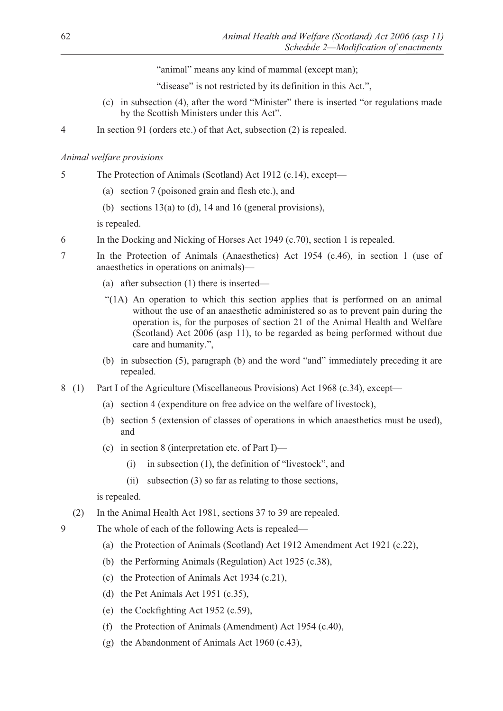"animal" means any kind of mammal (except man);

"disease" is not restricted by its definition in this Act.",

- (c) in subsection (4), after the word "Minister" there is inserted "or regulations made by the Scottish Ministers under this Act".
- 4 In section 91 (orders etc.) of that Act, subsection (2) is repealed.

# *Animal welfare provisions*

- 5 The Protection of Animals (Scotland) Act 1912 (c.14), except—
	- (a) section 7 (poisoned grain and flesh etc.), and
	- (b) sections 13(a) to (d), 14 and 16 (general provisions),

is repealed.

- 6 In the Docking and Nicking of Horses Act 1949 (c.70), section 1 is repealed.
- 7 In the Protection of Animals (Anaesthetics) Act 1954 (c.46), in section 1 (use of anaesthetics in operations on animals)—
	- (a) after subsection (1) there is inserted—
	- "(1A) An operation to which this section applies that is performed on an animal without the use of an anaesthetic administered so as to prevent pain during the operation is, for the purposes of section 21 of the Animal Health and Welfare (Scotland) Act 2006 (asp 11), to be regarded as being performed without due care and humanity.",
	- (b) in subsection (5), paragraph (b) and the word "and" immediately preceding it are repealed.
- 8 (1) Part I of the Agriculture (Miscellaneous Provisions) Act 1968 (c.34), except––
	- (a) section 4 (expenditure on free advice on the welfare of livestock),
	- (b) section 5 (extension of classes of operations in which anaesthetics must be used), and
	- (c) in section 8 (interpretation etc. of Part I)—
		- (i) in subsection (1), the definition of "livestock", and
		- (ii) subsection (3) so far as relating to those sections,

is repealed.

- (2) In the Animal Health Act 1981, sections 37 to 39 are repealed.
- 9 The whole of each of the following Acts is repealed—
	- (a) the Protection of Animals (Scotland) Act 1912 Amendment Act 1921 (c.22),
	- (b) the Performing Animals (Regulation) Act 1925 (c.38),
	- (c) the Protection of Animals Act 1934 (c.21),
	- (d) the Pet Animals Act 1951 (c.35),
	- (e) the Cockfighting Act 1952 (c.59),
	- (f) the Protection of Animals (Amendment) Act 1954 (c.40),
	- (g) the Abandonment of Animals Act 1960 (c.43),